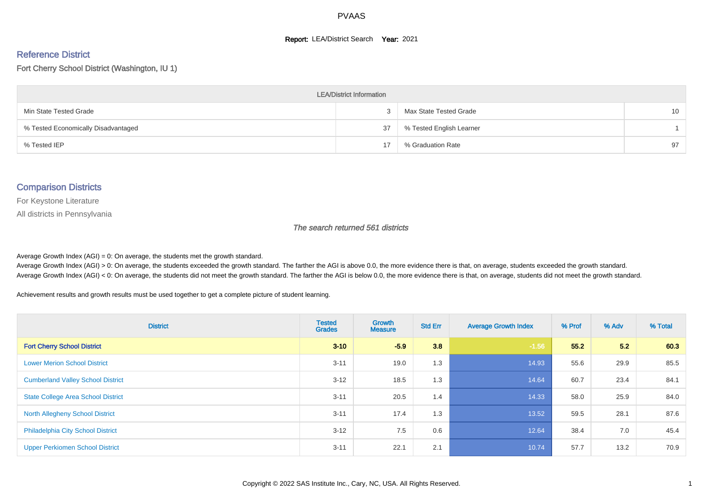#### **Report: LEA/District Search Year: 2021**

# Reference District

Fort Cherry School District (Washington, IU 1)

| <b>LEA/District Information</b>     |    |                          |    |  |  |  |  |  |  |  |
|-------------------------------------|----|--------------------------|----|--|--|--|--|--|--|--|
| Min State Tested Grade              |    | Max State Tested Grade   | 10 |  |  |  |  |  |  |  |
| % Tested Economically Disadvantaged | 37 | % Tested English Learner |    |  |  |  |  |  |  |  |
| % Tested IEP                        | 17 | % Graduation Rate        | 97 |  |  |  |  |  |  |  |

#### Comparison Districts

For Keystone Literature

All districts in Pennsylvania

The search returned 561 districts

Average Growth Index  $(AGI) = 0$ : On average, the students met the growth standard.

Average Growth Index (AGI) > 0: On average, the students exceeded the growth standard. The farther the AGI is above 0.0, the more evidence there is that, on average, students exceeded the growth standard. Average Growth Index (AGI) < 0: On average, the students did not meet the growth standard. The farther the AGI is below 0.0, the more evidence there is that, on average, students did not meet the growth standard.

Achievement results and growth results must be used together to get a complete picture of student learning.

| <b>District</b>                           | <b>Tested</b><br><b>Grades</b> | Growth<br><b>Measure</b> | <b>Std Err</b> | <b>Average Growth Index</b> | % Prof | % Adv | % Total |
|-------------------------------------------|--------------------------------|--------------------------|----------------|-----------------------------|--------|-------|---------|
| <b>Fort Cherry School District</b>        | $3 - 10$                       | $-5.9$                   | 3.8            | $-1.56$                     | 55.2   | 5.2   | 60.3    |
| <b>Lower Merion School District</b>       | $3 - 11$                       | 19.0                     | 1.3            | 14.93                       | 55.6   | 29.9  | 85.5    |
| <b>Cumberland Valley School District</b>  | $3 - 12$                       | 18.5                     | 1.3            | 14.64                       | 60.7   | 23.4  | 84.1    |
| <b>State College Area School District</b> | $3 - 11$                       | 20.5                     | 1.4            | 14.33                       | 58.0   | 25.9  | 84.0    |
| <b>North Allegheny School District</b>    | $3 - 11$                       | 17.4                     | 1.3            | 13.52                       | 59.5   | 28.1  | 87.6    |
| <b>Philadelphia City School District</b>  | $3 - 12$                       | 7.5                      | 0.6            | 12.64                       | 38.4   | 7.0   | 45.4    |
| <b>Upper Perkiomen School District</b>    | $3 - 11$                       | 22.1                     | 2.1            | 10.74                       | 57.7   | 13.2  | 70.9    |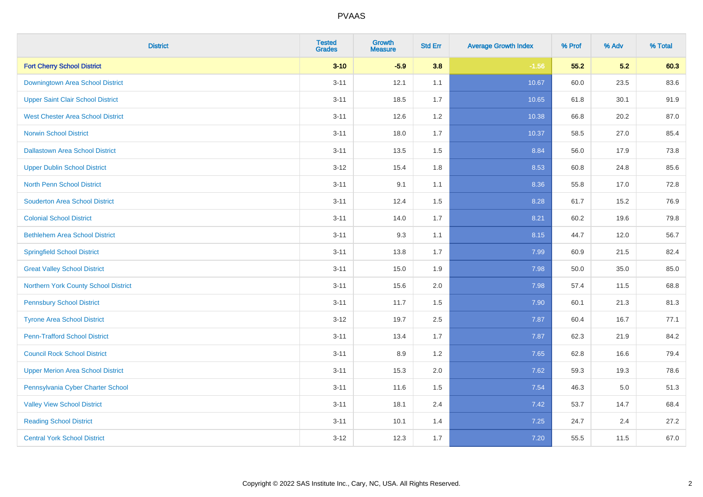| <b>District</b>                          | <b>Tested</b><br><b>Grades</b> | <b>Growth</b><br><b>Measure</b> | <b>Std Err</b> | <b>Average Growth Index</b> | % Prof | % Adv | % Total |
|------------------------------------------|--------------------------------|---------------------------------|----------------|-----------------------------|--------|-------|---------|
| <b>Fort Cherry School District</b>       | $3 - 10$                       | $-5.9$                          | 3.8            | $-1.56$                     | 55.2   | 5.2   | 60.3    |
| Downingtown Area School District         | $3 - 11$                       | 12.1                            | 1.1            | 10.67                       | 60.0   | 23.5  | 83.6    |
| <b>Upper Saint Clair School District</b> | $3 - 11$                       | 18.5                            | 1.7            | 10.65                       | 61.8   | 30.1  | 91.9    |
| <b>West Chester Area School District</b> | $3 - 11$                       | 12.6                            | $1.2\,$        | 10.38                       | 66.8   | 20.2  | 87.0    |
| <b>Norwin School District</b>            | $3 - 11$                       | 18.0                            | 1.7            | 10.37                       | 58.5   | 27.0  | 85.4    |
| <b>Dallastown Area School District</b>   | $3 - 11$                       | 13.5                            | 1.5            | 8.84                        | 56.0   | 17.9  | 73.8    |
| <b>Upper Dublin School District</b>      | $3 - 12$                       | 15.4                            | 1.8            | 8.53                        | 60.8   | 24.8  | 85.6    |
| <b>North Penn School District</b>        | $3 - 11$                       | 9.1                             | 1.1            | 8.36                        | 55.8   | 17.0  | 72.8    |
| <b>Souderton Area School District</b>    | $3 - 11$                       | 12.4                            | 1.5            | 8.28                        | 61.7   | 15.2  | 76.9    |
| <b>Colonial School District</b>          | $3 - 11$                       | 14.0                            | 1.7            | 8.21                        | 60.2   | 19.6  | 79.8    |
| <b>Bethlehem Area School District</b>    | $3 - 11$                       | 9.3                             | 1.1            | 8.15                        | 44.7   | 12.0  | 56.7    |
| <b>Springfield School District</b>       | $3 - 11$                       | 13.8                            | 1.7            | 7.99                        | 60.9   | 21.5  | 82.4    |
| <b>Great Valley School District</b>      | $3 - 11$                       | 15.0                            | 1.9            | 7.98                        | 50.0   | 35.0  | 85.0    |
| Northern York County School District     | $3 - 11$                       | 15.6                            | 2.0            | 7.98                        | 57.4   | 11.5  | 68.8    |
| <b>Pennsbury School District</b>         | $3 - 11$                       | 11.7                            | 1.5            | 7.90                        | 60.1   | 21.3  | 81.3    |
| <b>Tyrone Area School District</b>       | $3 - 12$                       | 19.7                            | 2.5            | 7.87                        | 60.4   | 16.7  | 77.1    |
| <b>Penn-Trafford School District</b>     | $3 - 11$                       | 13.4                            | 1.7            | 7.87                        | 62.3   | 21.9  | 84.2    |
| <b>Council Rock School District</b>      | $3 - 11$                       | 8.9                             | 1.2            | 7.65                        | 62.8   | 16.6  | 79.4    |
| <b>Upper Merion Area School District</b> | $3 - 11$                       | 15.3                            | 2.0            | 7.62                        | 59.3   | 19.3  | 78.6    |
| Pennsylvania Cyber Charter School        | $3 - 11$                       | 11.6                            | 1.5            | 7.54                        | 46.3   | 5.0   | 51.3    |
| <b>Valley View School District</b>       | $3 - 11$                       | 18.1                            | 2.4            | 7.42                        | 53.7   | 14.7  | 68.4    |
| <b>Reading School District</b>           | $3 - 11$                       | 10.1                            | 1.4            | 7.25                        | 24.7   | 2.4   | 27.2    |
| <b>Central York School District</b>      | $3 - 12$                       | 12.3                            | 1.7            | 7.20                        | 55.5   | 11.5  | 67.0    |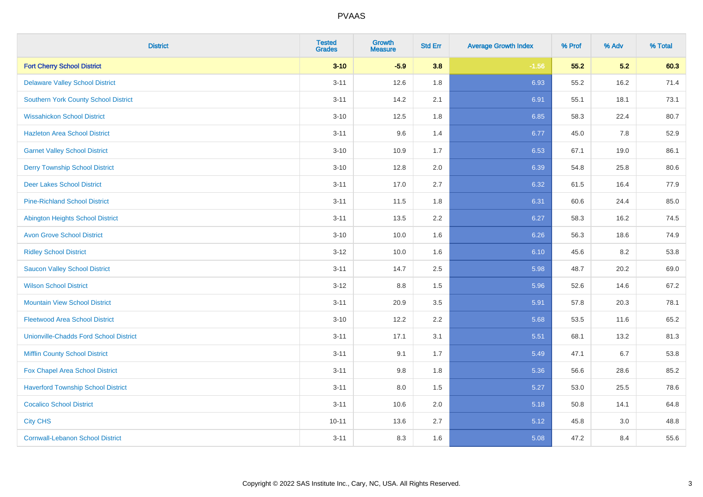| <b>District</b>                               | <b>Tested</b><br><b>Grades</b> | <b>Growth</b><br><b>Measure</b> | <b>Std Err</b> | <b>Average Growth Index</b> | % Prof | % Adv | % Total |
|-----------------------------------------------|--------------------------------|---------------------------------|----------------|-----------------------------|--------|-------|---------|
| <b>Fort Cherry School District</b>            | $3 - 10$                       | $-5.9$                          | 3.8            | $-1.56$                     | 55.2   | 5.2   | 60.3    |
| <b>Delaware Valley School District</b>        | $3 - 11$                       | 12.6                            | 1.8            | 6.93                        | 55.2   | 16.2  | 71.4    |
| <b>Southern York County School District</b>   | $3 - 11$                       | 14.2                            | 2.1            | 6.91                        | 55.1   | 18.1  | 73.1    |
| <b>Wissahickon School District</b>            | $3 - 10$                       | 12.5                            | 1.8            | 6.85                        | 58.3   | 22.4  | 80.7    |
| <b>Hazleton Area School District</b>          | $3 - 11$                       | 9.6                             | 1.4            | 6.77                        | 45.0   | 7.8   | 52.9    |
| <b>Garnet Valley School District</b>          | $3 - 10$                       | 10.9                            | 1.7            | 6.53                        | 67.1   | 19.0  | 86.1    |
| <b>Derry Township School District</b>         | $3 - 10$                       | 12.8                            | 2.0            | 6.39                        | 54.8   | 25.8  | 80.6    |
| <b>Deer Lakes School District</b>             | $3 - 11$                       | 17.0                            | 2.7            | 6.32                        | 61.5   | 16.4  | 77.9    |
| <b>Pine-Richland School District</b>          | $3 - 11$                       | 11.5                            | 1.8            | 6.31                        | 60.6   | 24.4  | 85.0    |
| <b>Abington Heights School District</b>       | $3 - 11$                       | 13.5                            | 2.2            | 6.27                        | 58.3   | 16.2  | 74.5    |
| <b>Avon Grove School District</b>             | $3 - 10$                       | 10.0                            | 1.6            | 6.26                        | 56.3   | 18.6  | 74.9    |
| <b>Ridley School District</b>                 | $3 - 12$                       | 10.0                            | 1.6            | 6.10                        | 45.6   | 8.2   | 53.8    |
| <b>Saucon Valley School District</b>          | $3 - 11$                       | 14.7                            | 2.5            | 5.98                        | 48.7   | 20.2  | 69.0    |
| <b>Wilson School District</b>                 | $3 - 12$                       | 8.8                             | 1.5            | 5.96                        | 52.6   | 14.6  | 67.2    |
| <b>Mountain View School District</b>          | $3 - 11$                       | 20.9                            | 3.5            | 5.91                        | 57.8   | 20.3  | 78.1    |
| <b>Fleetwood Area School District</b>         | $3 - 10$                       | 12.2                            | 2.2            | 5.68                        | 53.5   | 11.6  | 65.2    |
| <b>Unionville-Chadds Ford School District</b> | $3 - 11$                       | 17.1                            | 3.1            | 5.51                        | 68.1   | 13.2  | 81.3    |
| <b>Mifflin County School District</b>         | $3 - 11$                       | 9.1                             | 1.7            | 5.49                        | 47.1   | 6.7   | 53.8    |
| Fox Chapel Area School District               | $3 - 11$                       | 9.8                             | 1.8            | 5.36                        | 56.6   | 28.6  | 85.2    |
| <b>Haverford Township School District</b>     | $3 - 11$                       | 8.0                             | 1.5            | 5.27                        | 53.0   | 25.5  | 78.6    |
| <b>Cocalico School District</b>               | $3 - 11$                       | 10.6                            | 2.0            | 5.18                        | 50.8   | 14.1  | 64.8    |
| <b>City CHS</b>                               | $10 - 11$                      | 13.6                            | 2.7            | 5.12                        | 45.8   | 3.0   | 48.8    |
| <b>Cornwall-Lebanon School District</b>       | $3 - 11$                       | 8.3                             | 1.6            | 5.08                        | 47.2   | 8.4   | 55.6    |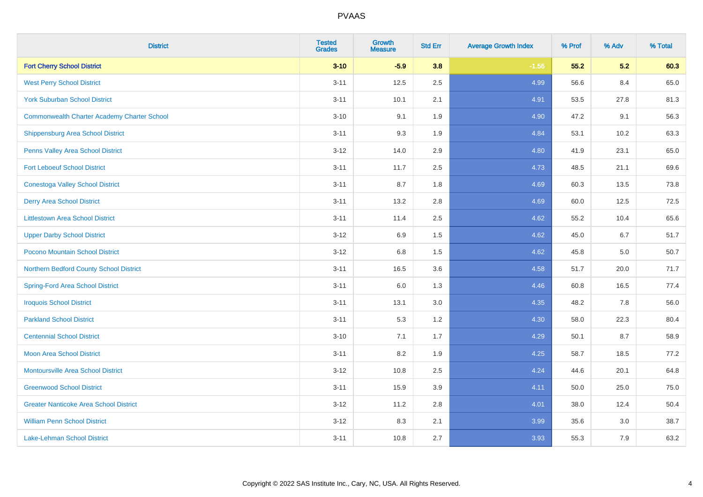| <b>District</b>                                    | <b>Tested</b><br><b>Grades</b> | <b>Growth</b><br><b>Measure</b> | <b>Std Err</b> | <b>Average Growth Index</b> | % Prof | % Adv | % Total |
|----------------------------------------------------|--------------------------------|---------------------------------|----------------|-----------------------------|--------|-------|---------|
| <b>Fort Cherry School District</b>                 | $3 - 10$                       | $-5.9$                          | 3.8            | $-1.56$                     | 55.2   | 5.2   | 60.3    |
| <b>West Perry School District</b>                  | $3 - 11$                       | 12.5                            | 2.5            | 4.99                        | 56.6   | 8.4   | 65.0    |
| <b>York Suburban School District</b>               | $3 - 11$                       | 10.1                            | 2.1            | 4.91                        | 53.5   | 27.8  | 81.3    |
| <b>Commonwealth Charter Academy Charter School</b> | $3 - 10$                       | 9.1                             | 1.9            | 4.90                        | 47.2   | 9.1   | 56.3    |
| Shippensburg Area School District                  | $3 - 11$                       | 9.3                             | 1.9            | 4.84                        | 53.1   | 10.2  | 63.3    |
| Penns Valley Area School District                  | $3 - 12$                       | 14.0                            | 2.9            | 4.80                        | 41.9   | 23.1  | 65.0    |
| <b>Fort Leboeuf School District</b>                | $3 - 11$                       | 11.7                            | 2.5            | 4.73                        | 48.5   | 21.1  | 69.6    |
| <b>Conestoga Valley School District</b>            | $3 - 11$                       | 8.7                             | 1.8            | 4.69                        | 60.3   | 13.5  | 73.8    |
| <b>Derry Area School District</b>                  | $3 - 11$                       | 13.2                            | 2.8            | 4.69                        | 60.0   | 12.5  | 72.5    |
| <b>Littlestown Area School District</b>            | $3 - 11$                       | 11.4                            | 2.5            | 4.62                        | 55.2   | 10.4  | 65.6    |
| <b>Upper Darby School District</b>                 | $3 - 12$                       | 6.9                             | 1.5            | 4.62                        | 45.0   | 6.7   | 51.7    |
| Pocono Mountain School District                    | $3 - 12$                       | $6.8\,$                         | 1.5            | 4.62                        | 45.8   | 5.0   | 50.7    |
| Northern Bedford County School District            | $3 - 11$                       | 16.5                            | 3.6            | 4.58                        | 51.7   | 20.0  | 71.7    |
| <b>Spring-Ford Area School District</b>            | $3 - 11$                       | 6.0                             | 1.3            | 4.46                        | 60.8   | 16.5  | 77.4    |
| <b>Iroquois School District</b>                    | $3 - 11$                       | 13.1                            | 3.0            | 4.35                        | 48.2   | 7.8   | 56.0    |
| <b>Parkland School District</b>                    | $3 - 11$                       | 5.3                             | 1.2            | 4.30                        | 58.0   | 22.3  | 80.4    |
| <b>Centennial School District</b>                  | $3 - 10$                       | 7.1                             | 1.7            | 4.29                        | 50.1   | 8.7   | 58.9    |
| <b>Moon Area School District</b>                   | $3 - 11$                       | 8.2                             | 1.9            | 4.25                        | 58.7   | 18.5  | 77.2    |
| <b>Montoursville Area School District</b>          | $3 - 12$                       | 10.8                            | 2.5            | 4.24                        | 44.6   | 20.1  | 64.8    |
| <b>Greenwood School District</b>                   | $3 - 11$                       | 15.9                            | 3.9            | 4.11                        | 50.0   | 25.0  | 75.0    |
| <b>Greater Nanticoke Area School District</b>      | $3-12$                         | 11.2                            | 2.8            | 4.01                        | 38.0   | 12.4  | 50.4    |
| <b>William Penn School District</b>                | $3 - 12$                       | 8.3                             | 2.1            | 3.99                        | 35.6   | 3.0   | 38.7    |
| Lake-Lehman School District                        | $3 - 11$                       | 10.8                            | 2.7            | 3.93                        | 55.3   | 7.9   | 63.2    |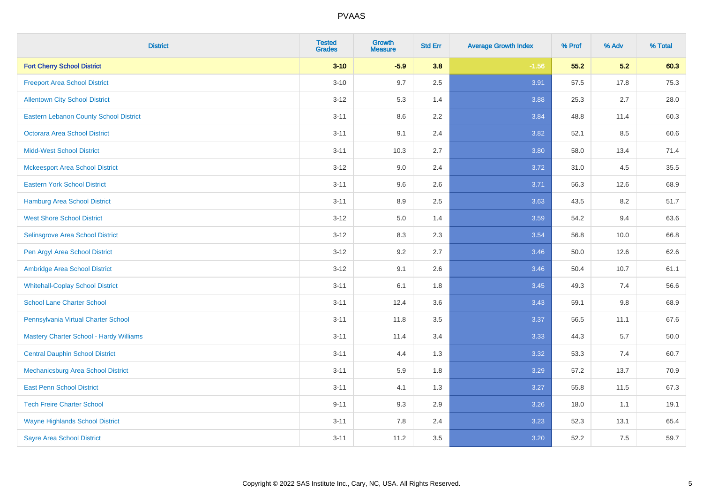| <b>District</b>                               | <b>Tested</b><br><b>Grades</b> | <b>Growth</b><br><b>Measure</b> | <b>Std Err</b> | <b>Average Growth Index</b> | % Prof | % Adv   | % Total  |
|-----------------------------------------------|--------------------------------|---------------------------------|----------------|-----------------------------|--------|---------|----------|
| <b>Fort Cherry School District</b>            | $3 - 10$                       | $-5.9$                          | 3.8            | $-1.56$                     | 55.2   | 5.2     | 60.3     |
| <b>Freeport Area School District</b>          | $3 - 10$                       | 9.7                             | 2.5            | 3.91                        | 57.5   | 17.8    | 75.3     |
| <b>Allentown City School District</b>         | $3 - 12$                       | 5.3                             | 1.4            | 3.88                        | 25.3   | 2.7     | 28.0     |
| <b>Eastern Lebanon County School District</b> | $3 - 11$                       | 8.6                             | 2.2            | 3.84                        | 48.8   | 11.4    | 60.3     |
| <b>Octorara Area School District</b>          | $3 - 11$                       | 9.1                             | 2.4            | 3.82                        | 52.1   | 8.5     | 60.6     |
| <b>Midd-West School District</b>              | $3 - 11$                       | 10.3                            | 2.7            | 3.80                        | 58.0   | 13.4    | 71.4     |
| <b>Mckeesport Area School District</b>        | $3 - 12$                       | 9.0                             | 2.4            | 3.72                        | 31.0   | 4.5     | 35.5     |
| <b>Eastern York School District</b>           | $3 - 11$                       | 9.6                             | 2.6            | 3.71                        | 56.3   | 12.6    | 68.9     |
| <b>Hamburg Area School District</b>           | $3 - 11$                       | 8.9                             | 2.5            | 3.63                        | 43.5   | 8.2     | 51.7     |
| <b>West Shore School District</b>             | $3 - 12$                       | 5.0                             | 1.4            | 3.59                        | 54.2   | 9.4     | 63.6     |
| Selinsgrove Area School District              | $3 - 12$                       | 8.3                             | 2.3            | 3.54                        | 56.8   | 10.0    | 66.8     |
| Pen Argyl Area School District                | $3 - 12$                       | 9.2                             | 2.7            | 3.46                        | 50.0   | 12.6    | 62.6     |
| Ambridge Area School District                 | $3 - 12$                       | 9.1                             | 2.6            | 3.46                        | 50.4   | 10.7    | 61.1     |
| <b>Whitehall-Coplay School District</b>       | $3 - 11$                       | 6.1                             | 1.8            | 3.45                        | 49.3   | 7.4     | 56.6     |
| <b>School Lane Charter School</b>             | $3 - 11$                       | 12.4                            | 3.6            | 3.43                        | 59.1   | $9.8\,$ | 68.9     |
| Pennsylvania Virtual Charter School           | $3 - 11$                       | 11.8                            | $3.5\,$        | 3.37                        | 56.5   | 11.1    | 67.6     |
| Mastery Charter School - Hardy Williams       | $3 - 11$                       | 11.4                            | 3.4            | 3.33                        | 44.3   | 5.7     | $50.0\,$ |
| <b>Central Dauphin School District</b>        | $3 - 11$                       | 4.4                             | 1.3            | 3.32                        | 53.3   | 7.4     | 60.7     |
| Mechanicsburg Area School District            | $3 - 11$                       | 5.9                             | 1.8            | 3.29                        | 57.2   | 13.7    | 70.9     |
| <b>East Penn School District</b>              | $3 - 11$                       | 4.1                             | 1.3            | 3.27                        | 55.8   | 11.5    | 67.3     |
| <b>Tech Freire Charter School</b>             | $9 - 11$                       | 9.3                             | 2.9            | 3.26                        | 18.0   | 1.1     | 19.1     |
| <b>Wayne Highlands School District</b>        | $3 - 11$                       | 7.8                             | 2.4            | 3.23                        | 52.3   | 13.1    | 65.4     |
| <b>Sayre Area School District</b>             | $3 - 11$                       | 11.2                            | 3.5            | 3.20                        | 52.2   | 7.5     | 59.7     |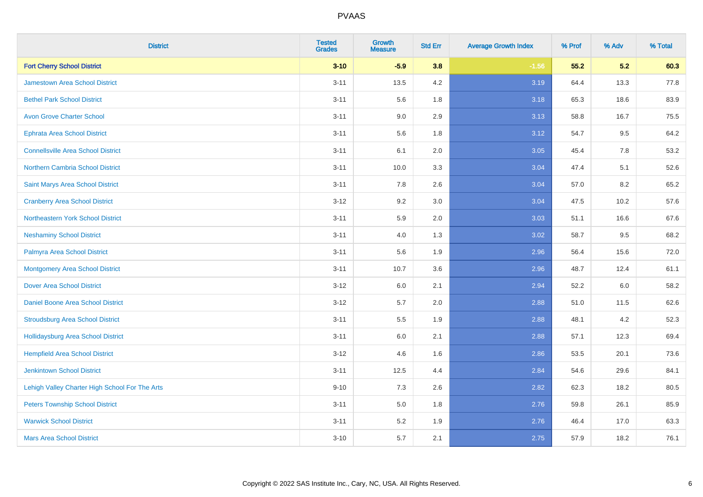| <b>District</b>                                | <b>Tested</b><br><b>Grades</b> | <b>Growth</b><br><b>Measure</b> | <b>Std Err</b> | <b>Average Growth Index</b> | % Prof | % Adv   | % Total |
|------------------------------------------------|--------------------------------|---------------------------------|----------------|-----------------------------|--------|---------|---------|
| <b>Fort Cherry School District</b>             | $3 - 10$                       | $-5.9$                          | 3.8            | $-1.56$                     | 55.2   | 5.2     | 60.3    |
| <b>Jamestown Area School District</b>          | $3 - 11$                       | 13.5                            | 4.2            | 3.19                        | 64.4   | 13.3    | 77.8    |
| <b>Bethel Park School District</b>             | $3 - 11$                       | 5.6                             | 1.8            | 3.18                        | 65.3   | 18.6    | 83.9    |
| <b>Avon Grove Charter School</b>               | $3 - 11$                       | 9.0                             | 2.9            | 3.13                        | 58.8   | 16.7    | 75.5    |
| Ephrata Area School District                   | $3 - 11$                       | 5.6                             | 1.8            | 3.12                        | 54.7   | 9.5     | 64.2    |
| <b>Connellsville Area School District</b>      | $3 - 11$                       | 6.1                             | 2.0            | 3.05                        | 45.4   | 7.8     | 53.2    |
| Northern Cambria School District               | $3 - 11$                       | 10.0                            | 3.3            | 3.04                        | 47.4   | 5.1     | 52.6    |
| Saint Marys Area School District               | $3 - 11$                       | 7.8                             | 2.6            | 3.04                        | 57.0   | 8.2     | 65.2    |
| <b>Cranberry Area School District</b>          | $3-12$                         | 9.2                             | 3.0            | 3.04                        | 47.5   | 10.2    | 57.6    |
| Northeastern York School District              | $3 - 11$                       | 5.9                             | 2.0            | 3.03                        | 51.1   | 16.6    | 67.6    |
| <b>Neshaminy School District</b>               | $3 - 11$                       | 4.0                             | 1.3            | 3.02                        | 58.7   | 9.5     | 68.2    |
| Palmyra Area School District                   | $3 - 11$                       | 5.6                             | 1.9            | 2.96                        | 56.4   | 15.6    | 72.0    |
| <b>Montgomery Area School District</b>         | $3 - 11$                       | 10.7                            | 3.6            | 2.96                        | 48.7   | 12.4    | 61.1    |
| <b>Dover Area School District</b>              | $3-12$                         | 6.0                             | 2.1            | 2.94                        | 52.2   | $6.0\,$ | 58.2    |
| Daniel Boone Area School District              | $3-12$                         | 5.7                             | 2.0            | 2.88                        | 51.0   | 11.5    | 62.6    |
| <b>Stroudsburg Area School District</b>        | $3 - 11$                       | 5.5                             | 1.9            | 2.88                        | 48.1   | 4.2     | 52.3    |
| Hollidaysburg Area School District             | $3 - 11$                       | 6.0                             | 2.1            | 2.88                        | 57.1   | 12.3    | 69.4    |
| <b>Hempfield Area School District</b>          | $3-12$                         | 4.6                             | 1.6            | 2.86                        | 53.5   | 20.1    | 73.6    |
| <b>Jenkintown School District</b>              | $3 - 11$                       | 12.5                            | 4.4            | 2.84                        | 54.6   | 29.6    | 84.1    |
| Lehigh Valley Charter High School For The Arts | $9 - 10$                       | 7.3                             | 2.6            | 2.82                        | 62.3   | 18.2    | 80.5    |
| <b>Peters Township School District</b>         | $3 - 11$                       | 5.0                             | 1.8            | 2.76                        | 59.8   | 26.1    | 85.9    |
| <b>Warwick School District</b>                 | $3 - 11$                       | 5.2                             | 1.9            | 2.76                        | 46.4   | 17.0    | 63.3    |
| <b>Mars Area School District</b>               | $3 - 10$                       | 5.7                             | 2.1            | 2.75                        | 57.9   | 18.2    | 76.1    |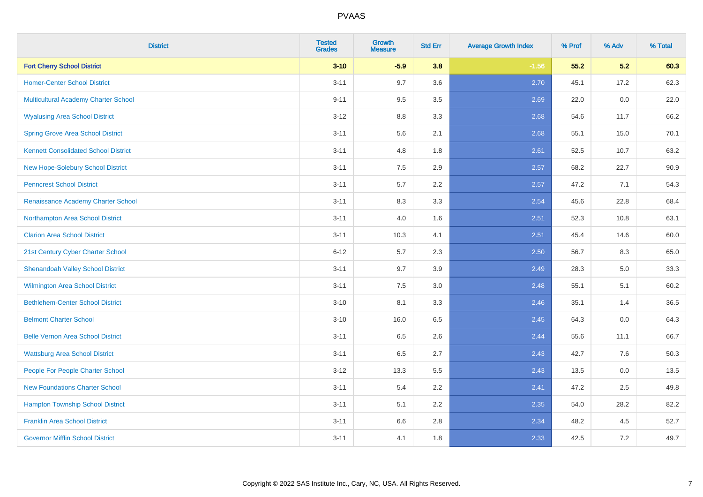| <b>District</b>                             | <b>Tested</b><br><b>Grades</b> | <b>Growth</b><br><b>Measure</b> | <b>Std Err</b> | <b>Average Growth Index</b> | % Prof | % Adv | % Total |
|---------------------------------------------|--------------------------------|---------------------------------|----------------|-----------------------------|--------|-------|---------|
| <b>Fort Cherry School District</b>          | $3 - 10$                       | $-5.9$                          | 3.8            | $-1.56$                     | 55.2   | 5.2   | 60.3    |
| <b>Homer-Center School District</b>         | $3 - 11$                       | 9.7                             | 3.6            | 2.70                        | 45.1   | 17.2  | 62.3    |
| Multicultural Academy Charter School        | $9 - 11$                       | 9.5                             | 3.5            | 2.69                        | 22.0   | 0.0   | 22.0    |
| <b>Wyalusing Area School District</b>       | $3 - 12$                       | $8.8\,$                         | 3.3            | 2.68                        | 54.6   | 11.7  | 66.2    |
| <b>Spring Grove Area School District</b>    | $3 - 11$                       | 5.6                             | 2.1            | 2.68                        | 55.1   | 15.0  | 70.1    |
| <b>Kennett Consolidated School District</b> | $3 - 11$                       | 4.8                             | 1.8            | 2.61                        | 52.5   | 10.7  | 63.2    |
| New Hope-Solebury School District           | $3 - 11$                       | $7.5\,$                         | 2.9            | 2.57                        | 68.2   | 22.7  | 90.9    |
| <b>Penncrest School District</b>            | $3 - 11$                       | 5.7                             | 2.2            | 2.57                        | 47.2   | 7.1   | 54.3    |
| Renaissance Academy Charter School          | $3 - 11$                       | 8.3                             | 3.3            | 2.54                        | 45.6   | 22.8  | 68.4    |
| Northampton Area School District            | $3 - 11$                       | 4.0                             | 1.6            | 2.51                        | 52.3   | 10.8  | 63.1    |
| <b>Clarion Area School District</b>         | $3 - 11$                       | 10.3                            | 4.1            | 2.51                        | 45.4   | 14.6  | 60.0    |
| 21st Century Cyber Charter School           | $6 - 12$                       | 5.7                             | 2.3            | 2.50                        | 56.7   | 8.3   | 65.0    |
| <b>Shenandoah Valley School District</b>    | $3 - 11$                       | 9.7                             | 3.9            | 2.49                        | 28.3   | 5.0   | 33.3    |
| Wilmington Area School District             | $3 - 11$                       | 7.5                             | 3.0            | 2.48                        | 55.1   | 5.1   | 60.2    |
| <b>Bethlehem-Center School District</b>     | $3 - 10$                       | 8.1                             | 3.3            | 2.46                        | 35.1   | 1.4   | 36.5    |
| <b>Belmont Charter School</b>               | $3 - 10$                       | 16.0                            | 6.5            | 2.45                        | 64.3   | 0.0   | 64.3    |
| <b>Belle Vernon Area School District</b>    | $3 - 11$                       | 6.5                             | 2.6            | 2.44                        | 55.6   | 11.1  | 66.7    |
| <b>Wattsburg Area School District</b>       | $3 - 11$                       | 6.5                             | 2.7            | 2.43                        | 42.7   | 7.6   | 50.3    |
| People For People Charter School            | $3 - 12$                       | 13.3                            | 5.5            | 2.43                        | 13.5   | 0.0   | 13.5    |
| <b>New Foundations Charter School</b>       | $3 - 11$                       | 5.4                             | 2.2            | 2.41                        | 47.2   | 2.5   | 49.8    |
| <b>Hampton Township School District</b>     | $3 - 11$                       | 5.1                             | 2.2            | 2.35                        | 54.0   | 28.2  | 82.2    |
| <b>Franklin Area School District</b>        | $3 - 11$                       | 6.6                             | 2.8            | 2.34                        | 48.2   | 4.5   | 52.7    |
| <b>Governor Mifflin School District</b>     | $3 - 11$                       | 4.1                             | 1.8            | 2.33                        | 42.5   | 7.2   | 49.7    |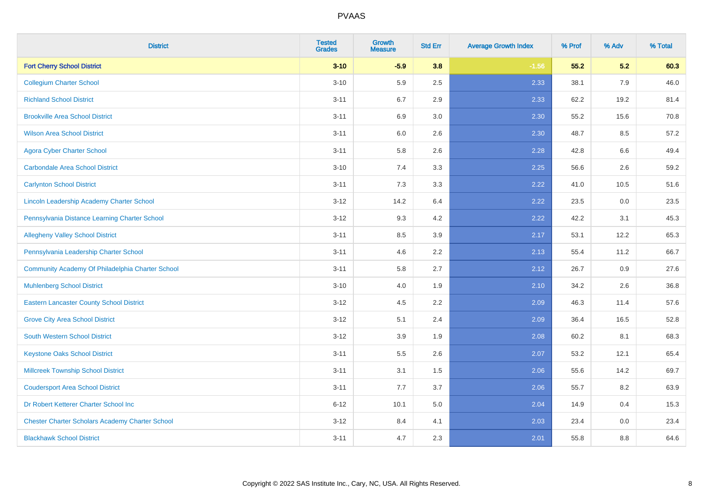| <b>District</b>                                        | <b>Tested</b><br><b>Grades</b> | <b>Growth</b><br><b>Measure</b> | <b>Std Err</b> | <b>Average Growth Index</b> | % Prof | % Adv | % Total |
|--------------------------------------------------------|--------------------------------|---------------------------------|----------------|-----------------------------|--------|-------|---------|
| <b>Fort Cherry School District</b>                     | $3 - 10$                       | $-5.9$                          | 3.8            | $-1.56$                     | 55.2   | 5.2   | 60.3    |
| <b>Collegium Charter School</b>                        | $3 - 10$                       | 5.9                             | 2.5            | 2.33                        | 38.1   | 7.9   | 46.0    |
| <b>Richland School District</b>                        | $3 - 11$                       | 6.7                             | 2.9            | 2.33                        | 62.2   | 19.2  | 81.4    |
| <b>Brookville Area School District</b>                 | $3 - 11$                       | 6.9                             | 3.0            | 2.30                        | 55.2   | 15.6  | 70.8    |
| <b>Wilson Area School District</b>                     | $3 - 11$                       | 6.0                             | 2.6            | 2.30                        | 48.7   | 8.5   | 57.2    |
| <b>Agora Cyber Charter School</b>                      | $3 - 11$                       | 5.8                             | 2.6            | 2.28                        | 42.8   | 6.6   | 49.4    |
| <b>Carbondale Area School District</b>                 | $3 - 10$                       | 7.4                             | 3.3            | 2.25                        | 56.6   | 2.6   | 59.2    |
| <b>Carlynton School District</b>                       | $3 - 11$                       | 7.3                             | 3.3            | 2.22                        | 41.0   | 10.5  | 51.6    |
| Lincoln Leadership Academy Charter School              | $3 - 12$                       | 14.2                            | 6.4            | 2.22                        | 23.5   | 0.0   | 23.5    |
| Pennsylvania Distance Learning Charter School          | $3 - 12$                       | 9.3                             | 4.2            | 2.22                        | 42.2   | 3.1   | 45.3    |
| <b>Allegheny Valley School District</b>                | $3 - 11$                       | 8.5                             | 3.9            | 2.17                        | 53.1   | 12.2  | 65.3    |
| Pennsylvania Leadership Charter School                 | $3 - 11$                       | 4.6                             | 2.2            | 2.13                        | 55.4   | 11.2  | 66.7    |
| Community Academy Of Philadelphia Charter School       | $3 - 11$                       | 5.8                             | 2.7            | 2.12                        | 26.7   | 0.9   | 27.6    |
| <b>Muhlenberg School District</b>                      | $3 - 10$                       | 4.0                             | 1.9            | 2.10                        | 34.2   | 2.6   | 36.8    |
| <b>Eastern Lancaster County School District</b>        | $3 - 12$                       | 4.5                             | 2.2            | 2.09                        | 46.3   | 11.4  | 57.6    |
| <b>Grove City Area School District</b>                 | $3 - 12$                       | 5.1                             | 2.4            | 2.09                        | 36.4   | 16.5  | 52.8    |
| <b>South Western School District</b>                   | $3 - 12$                       | 3.9                             | 1.9            | 2.08                        | 60.2   | 8.1   | 68.3    |
| <b>Keystone Oaks School District</b>                   | $3 - 11$                       | 5.5                             | 2.6            | 2.07                        | 53.2   | 12.1  | 65.4    |
| <b>Millcreek Township School District</b>              | $3 - 11$                       | 3.1                             | 1.5            | 2.06                        | 55.6   | 14.2  | 69.7    |
| <b>Coudersport Area School District</b>                | $3 - 11$                       | 7.7                             | 3.7            | 2.06                        | 55.7   | 8.2   | 63.9    |
| Dr Robert Ketterer Charter School Inc                  | $6 - 12$                       | 10.1                            | 5.0            | 2.04                        | 14.9   | 0.4   | 15.3    |
| <b>Chester Charter Scholars Academy Charter School</b> | $3 - 12$                       | 8.4                             | 4.1            | 2.03                        | 23.4   | 0.0   | 23.4    |
| <b>Blackhawk School District</b>                       | $3 - 11$                       | 4.7                             | 2.3            | 2.01                        | 55.8   | 8.8   | 64.6    |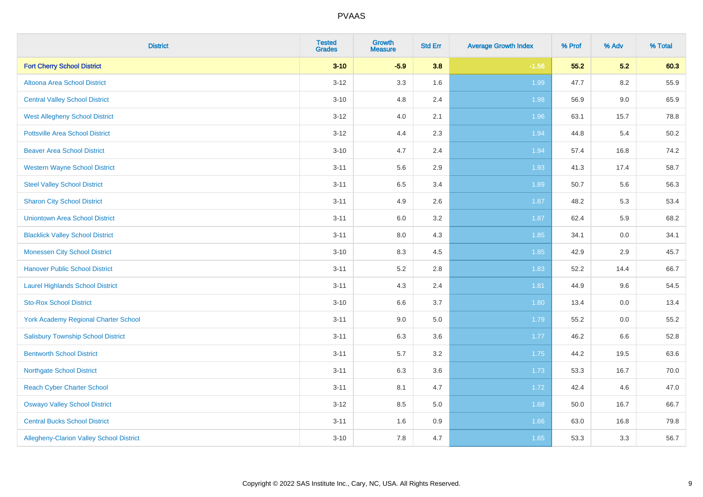| <b>District</b>                                 | <b>Tested</b><br><b>Grades</b> | <b>Growth</b><br><b>Measure</b> | <b>Std Err</b> | <b>Average Growth Index</b> | % Prof | % Adv   | % Total |
|-------------------------------------------------|--------------------------------|---------------------------------|----------------|-----------------------------|--------|---------|---------|
| <b>Fort Cherry School District</b>              | $3 - 10$                       | $-5.9$                          | 3.8            | $-1.56$                     | 55.2   | 5.2     | 60.3    |
| Altoona Area School District                    | $3 - 12$                       | 3.3                             | 1.6            | 1.99                        | 47.7   | 8.2     | 55.9    |
| <b>Central Valley School District</b>           | $3 - 10$                       | 4.8                             | 2.4            | 1.98                        | 56.9   | $9.0\,$ | 65.9    |
| <b>West Allegheny School District</b>           | $3 - 12$                       | 4.0                             | 2.1            | 1.96                        | 63.1   | 15.7    | 78.8    |
| <b>Pottsville Area School District</b>          | $3 - 12$                       | 4.4                             | 2.3            | 1.94                        | 44.8   | 5.4     | 50.2    |
| <b>Beaver Area School District</b>              | $3 - 10$                       | 4.7                             | 2.4            | 1.94                        | 57.4   | 16.8    | 74.2    |
| <b>Western Wayne School District</b>            | $3 - 11$                       | 5.6                             | 2.9            | 1.93                        | 41.3   | 17.4    | 58.7    |
| <b>Steel Valley School District</b>             | $3 - 11$                       | 6.5                             | 3.4            | 1.89                        | 50.7   | 5.6     | 56.3    |
| <b>Sharon City School District</b>              | $3 - 11$                       | 4.9                             | 2.6            | 1.87                        | 48.2   | 5.3     | 53.4    |
| <b>Uniontown Area School District</b>           | $3 - 11$                       | 6.0                             | 3.2            | 1.87                        | 62.4   | 5.9     | 68.2    |
| <b>Blacklick Valley School District</b>         | $3 - 11$                       | 8.0                             | 4.3            | 1.85                        | 34.1   | 0.0     | 34.1    |
| <b>Monessen City School District</b>            | $3 - 10$                       | 8.3                             | 4.5            | 1.85                        | 42.9   | 2.9     | 45.7    |
| <b>Hanover Public School District</b>           | $3 - 11$                       | 5.2                             | 2.8            | 1.83                        | 52.2   | 14.4    | 66.7    |
| <b>Laurel Highlands School District</b>         | $3 - 11$                       | 4.3                             | 2.4            | 1.81                        | 44.9   | 9.6     | 54.5    |
| <b>Sto-Rox School District</b>                  | $3 - 10$                       | 6.6                             | 3.7            | 1.80                        | 13.4   | $0.0\,$ | 13.4    |
| <b>York Academy Regional Charter School</b>     | $3 - 11$                       | 9.0                             | 5.0            | 1.79                        | 55.2   | 0.0     | 55.2    |
| <b>Salisbury Township School District</b>       | $3 - 11$                       | 6.3                             | 3.6            | 1.77                        | 46.2   | 6.6     | 52.8    |
| <b>Bentworth School District</b>                | $3 - 11$                       | 5.7                             | 3.2            | 1.75                        | 44.2   | 19.5    | 63.6    |
| <b>Northgate School District</b>                | $3 - 11$                       | 6.3                             | 3.6            | 1.73                        | 53.3   | 16.7    | 70.0    |
| <b>Reach Cyber Charter School</b>               | $3 - 11$                       | 8.1                             | 4.7            | 1.72                        | 42.4   | 4.6     | 47.0    |
| <b>Oswayo Valley School District</b>            | $3 - 12$                       | 8.5                             | 5.0            | 1.68                        | 50.0   | 16.7    | 66.7    |
| <b>Central Bucks School District</b>            | $3 - 11$                       | 1.6                             | 0.9            | 1.66                        | 63.0   | 16.8    | 79.8    |
| <b>Allegheny-Clarion Valley School District</b> | $3 - 10$                       | 7.8                             | 4.7            | 1.65                        | 53.3   | 3.3     | 56.7    |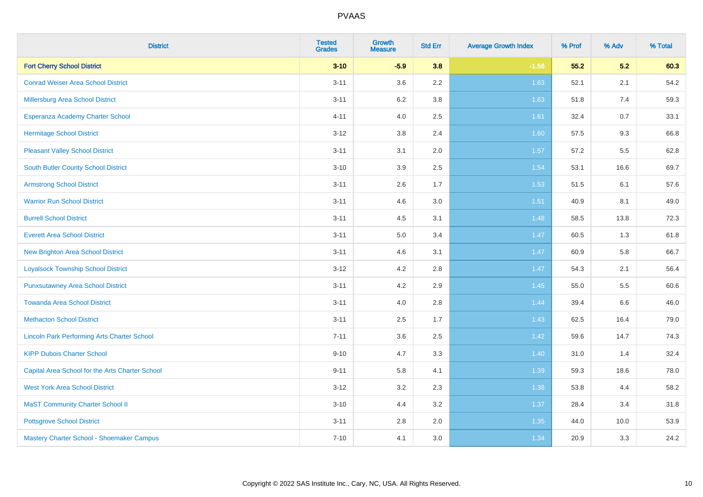| <b>District</b>                                    | <b>Tested</b><br><b>Grades</b> | <b>Growth</b><br><b>Measure</b> | <b>Std Err</b> | <b>Average Growth Index</b> | % Prof | % Adv | % Total |
|----------------------------------------------------|--------------------------------|---------------------------------|----------------|-----------------------------|--------|-------|---------|
| <b>Fort Cherry School District</b>                 | $3 - 10$                       | $-5.9$                          | 3.8            | $-1.56$                     | 55.2   | 5.2   | 60.3    |
| <b>Conrad Weiser Area School District</b>          | $3 - 11$                       | 3.6                             | 2.2            | 1.63                        | 52.1   | 2.1   | 54.2    |
| Millersburg Area School District                   | $3 - 11$                       | 6.2                             | 3.8            | 1.63                        | 51.8   | 7.4   | 59.3    |
| Esperanza Academy Charter School                   | $4 - 11$                       | 4.0                             | 2.5            | 1.61                        | 32.4   | 0.7   | 33.1    |
| <b>Hermitage School District</b>                   | $3 - 12$                       | 3.8                             | 2.4            | 1.60                        | 57.5   | 9.3   | 66.8    |
| <b>Pleasant Valley School District</b>             | $3 - 11$                       | 3.1                             | 2.0            | 1.57                        | 57.2   | 5.5   | 62.8    |
| South Butler County School District                | $3 - 10$                       | 3.9                             | 2.5            | 1.54                        | 53.1   | 16.6  | 69.7    |
| <b>Armstrong School District</b>                   | $3 - 11$                       | 2.6                             | 1.7            | 1.53                        | 51.5   | 6.1   | 57.6    |
| <b>Warrior Run School District</b>                 | $3 - 11$                       | 4.6                             | 3.0            | 1.51                        | 40.9   | 8.1   | 49.0    |
| <b>Burrell School District</b>                     | $3 - 11$                       | 4.5                             | 3.1            | 1.48                        | 58.5   | 13.8  | 72.3    |
| <b>Everett Area School District</b>                | $3 - 11$                       | 5.0                             | 3.4            | 1.47                        | 60.5   | 1.3   | 61.8    |
| <b>New Brighton Area School District</b>           | $3 - 11$                       | 4.6                             | 3.1            | 1.47                        | 60.9   | 5.8   | 66.7    |
| <b>Loyalsock Township School District</b>          | $3 - 12$                       | 4.2                             | 2.8            | 1.47                        | 54.3   | 2.1   | 56.4    |
| <b>Punxsutawney Area School District</b>           | $3 - 11$                       | 4.2                             | 2.9            | 1.45                        | 55.0   | 5.5   | 60.6    |
| <b>Towanda Area School District</b>                | $3 - 11$                       | 4.0                             | 2.8            | 1.44                        | 39.4   | 6.6   | 46.0    |
| <b>Methacton School District</b>                   | $3 - 11$                       | 2.5                             | 1.7            | 1.43                        | 62.5   | 16.4  | 79.0    |
| <b>Lincoln Park Performing Arts Charter School</b> | $7 - 11$                       | 3.6                             | 2.5            | 1.42                        | 59.6   | 14.7  | 74.3    |
| <b>KIPP Dubois Charter School</b>                  | $9 - 10$                       | 4.7                             | 3.3            | 1.40                        | 31.0   | 1.4   | 32.4    |
| Capital Area School for the Arts Charter School    | $9 - 11$                       | 5.8                             | 4.1            | 1.39                        | 59.3   | 18.6  | 78.0    |
| <b>West York Area School District</b>              | $3 - 12$                       | 3.2                             | 2.3            | 1.38                        | 53.8   | 4.4   | 58.2    |
| <b>MaST Community Charter School II</b>            | $3 - 10$                       | 4.4                             | 3.2            | 1.37                        | 28.4   | 3.4   | 31.8    |
| <b>Pottsgrove School District</b>                  | $3 - 11$                       | 2.8                             | 2.0            | 1.35                        | 44.0   | 10.0  | 53.9    |
| Mastery Charter School - Shoemaker Campus          | $7 - 10$                       | 4.1                             | 3.0            | 1.34                        | 20.9   | 3.3   | 24.2    |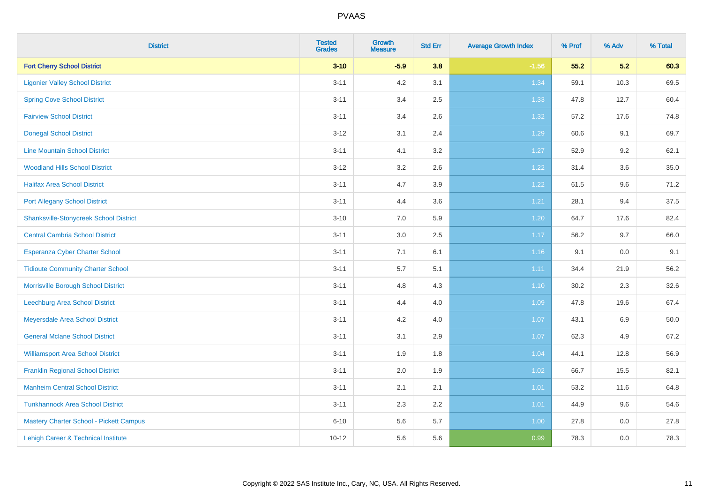| <b>District</b>                               | <b>Tested</b><br><b>Grades</b> | <b>Growth</b><br><b>Measure</b> | <b>Std Err</b> | <b>Average Growth Index</b> | % Prof | % Adv   | % Total |
|-----------------------------------------------|--------------------------------|---------------------------------|----------------|-----------------------------|--------|---------|---------|
| <b>Fort Cherry School District</b>            | $3 - 10$                       | $-5.9$                          | 3.8            | $-1.56$                     | 55.2   | 5.2     | 60.3    |
| <b>Ligonier Valley School District</b>        | $3 - 11$                       | 4.2                             | 3.1            | 1.34                        | 59.1   | 10.3    | 69.5    |
| <b>Spring Cove School District</b>            | $3 - 11$                       | 3.4                             | 2.5            | 1.33                        | 47.8   | 12.7    | 60.4    |
| <b>Fairview School District</b>               | $3 - 11$                       | 3.4                             | 2.6            | 1.32                        | 57.2   | 17.6    | 74.8    |
| <b>Donegal School District</b>                | $3 - 12$                       | 3.1                             | 2.4            | 1.29                        | 60.6   | 9.1     | 69.7    |
| <b>Line Mountain School District</b>          | $3 - 11$                       | 4.1                             | 3.2            | 1.27                        | 52.9   | 9.2     | 62.1    |
| <b>Woodland Hills School District</b>         | $3 - 12$                       | 3.2                             | 2.6            | 1.22                        | 31.4   | 3.6     | 35.0    |
| <b>Halifax Area School District</b>           | $3 - 11$                       | 4.7                             | 3.9            | 1.22                        | 61.5   | 9.6     | 71.2    |
| <b>Port Allegany School District</b>          | $3 - 11$                       | 4.4                             | 3.6            | 1.21                        | 28.1   | 9.4     | 37.5    |
| <b>Shanksville-Stonycreek School District</b> | $3 - 10$                       | 7.0                             | 5.9            | 1.20                        | 64.7   | 17.6    | 82.4    |
| <b>Central Cambria School District</b>        | $3 - 11$                       | 3.0                             | 2.5            | 1.17                        | 56.2   | 9.7     | 66.0    |
| Esperanza Cyber Charter School                | $3 - 11$                       | 7.1                             | 6.1            | 1.16                        | 9.1    | $0.0\,$ | 9.1     |
| <b>Tidioute Community Charter School</b>      | $3 - 11$                       | 5.7                             | 5.1            | 1.11                        | 34.4   | 21.9    | 56.2    |
| Morrisville Borough School District           | $3 - 11$                       | 4.8                             | 4.3            | 1.10                        | 30.2   | 2.3     | 32.6    |
| Leechburg Area School District                | $3 - 11$                       | 4.4                             | 4.0            | 1.09                        | 47.8   | 19.6    | 67.4    |
| Meyersdale Area School District               | $3 - 11$                       | 4.2                             | 4.0            | 1.07                        | 43.1   | 6.9     | 50.0    |
| <b>General Mclane School District</b>         | $3 - 11$                       | 3.1                             | 2.9            | 1.07                        | 62.3   | 4.9     | 67.2    |
| <b>Williamsport Area School District</b>      | $3 - 11$                       | 1.9                             | 1.8            | 1.04                        | 44.1   | 12.8    | 56.9    |
| <b>Franklin Regional School District</b>      | $3 - 11$                       | 2.0                             | 1.9            | 1.02                        | 66.7   | 15.5    | 82.1    |
| <b>Manheim Central School District</b>        | $3 - 11$                       | 2.1                             | 2.1            | $1.01$                      | 53.2   | 11.6    | 64.8    |
| <b>Tunkhannock Area School District</b>       | $3 - 11$                       | 2.3                             | 2.2            | 1.01                        | 44.9   | 9.6     | 54.6    |
| Mastery Charter School - Pickett Campus       | $6 - 10$                       | 5.6                             | 5.7            | 1.00                        | 27.8   | 0.0     | 27.8    |
| Lehigh Career & Technical Institute           | $10 - 12$                      | 5.6                             | 5.6            | 0.99                        | 78.3   | 0.0     | 78.3    |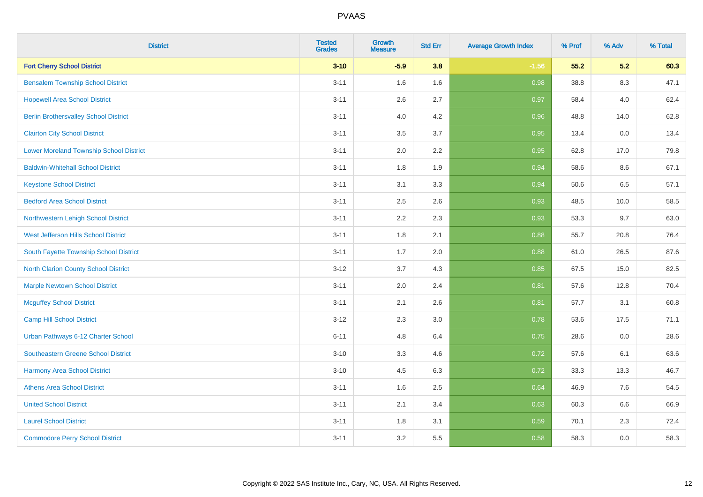| <b>District</b>                                | <b>Tested</b><br><b>Grades</b> | <b>Growth</b><br><b>Measure</b> | <b>Std Err</b> | <b>Average Growth Index</b> | % Prof | % Adv | % Total |
|------------------------------------------------|--------------------------------|---------------------------------|----------------|-----------------------------|--------|-------|---------|
| <b>Fort Cherry School District</b>             | $3 - 10$                       | $-5.9$                          | 3.8            | $-1.56$                     | 55.2   | 5.2   | 60.3    |
| <b>Bensalem Township School District</b>       | $3 - 11$                       | 1.6                             | 1.6            | 0.98                        | 38.8   | 8.3   | 47.1    |
| <b>Hopewell Area School District</b>           | $3 - 11$                       | 2.6                             | 2.7            | 0.97                        | 58.4   | 4.0   | 62.4    |
| <b>Berlin Brothersvalley School District</b>   | $3 - 11$                       | 4.0                             | 4.2            | 0.96                        | 48.8   | 14.0  | 62.8    |
| <b>Clairton City School District</b>           | $3 - 11$                       | 3.5                             | 3.7            | 0.95                        | 13.4   | 0.0   | 13.4    |
| <b>Lower Moreland Township School District</b> | $3 - 11$                       | 2.0                             | 2.2            | 0.95                        | 62.8   | 17.0  | 79.8    |
| <b>Baldwin-Whitehall School District</b>       | $3 - 11$                       | 1.8                             | 1.9            | 0.94                        | 58.6   | 8.6   | 67.1    |
| <b>Keystone School District</b>                | $3 - 11$                       | 3.1                             | 3.3            | 0.94                        | 50.6   | 6.5   | 57.1    |
| <b>Bedford Area School District</b>            | $3 - 11$                       | 2.5                             | 2.6            | 0.93                        | 48.5   | 10.0  | 58.5    |
| Northwestern Lehigh School District            | $3 - 11$                       | 2.2                             | 2.3            | 0.93                        | 53.3   | 9.7   | 63.0    |
| West Jefferson Hills School District           | $3 - 11$                       | 1.8                             | 2.1            | 0.88                        | 55.7   | 20.8  | 76.4    |
| South Fayette Township School District         | $3 - 11$                       | 1.7                             | 2.0            | 0.88                        | 61.0   | 26.5  | 87.6    |
| <b>North Clarion County School District</b>    | $3 - 12$                       | 3.7                             | 4.3            | 0.85                        | 67.5   | 15.0  | 82.5    |
| <b>Marple Newtown School District</b>          | $3 - 11$                       | 2.0                             | 2.4            | 0.81                        | 57.6   | 12.8  | 70.4    |
| <b>Mcguffey School District</b>                | $3 - 11$                       | 2.1                             | 2.6            | 0.81                        | 57.7   | 3.1   | 60.8    |
| <b>Camp Hill School District</b>               | $3 - 12$                       | 2.3                             | 3.0            | 0.78                        | 53.6   | 17.5  | 71.1    |
| Urban Pathways 6-12 Charter School             | $6 - 11$                       | 4.8                             | 6.4            | 0.75                        | 28.6   | 0.0   | 28.6    |
| Southeastern Greene School District            | $3 - 10$                       | 3.3                             | 4.6            | $\overline{0.72}$           | 57.6   | 6.1   | 63.6    |
| <b>Harmony Area School District</b>            | $3 - 10$                       | 4.5                             | 6.3            | 0.72                        | 33.3   | 13.3  | 46.7    |
| <b>Athens Area School District</b>             | $3 - 11$                       | 1.6                             | 2.5            | 0.64                        | 46.9   | 7.6   | 54.5    |
| <b>United School District</b>                  | $3 - 11$                       | 2.1                             | 3.4            | 0.63                        | 60.3   | 6.6   | 66.9    |
| <b>Laurel School District</b>                  | $3 - 11$                       | 1.8                             | 3.1            | 0.59                        | 70.1   | 2.3   | 72.4    |
| <b>Commodore Perry School District</b>         | $3 - 11$                       | 3.2                             | 5.5            | 0.58                        | 58.3   | 0.0   | 58.3    |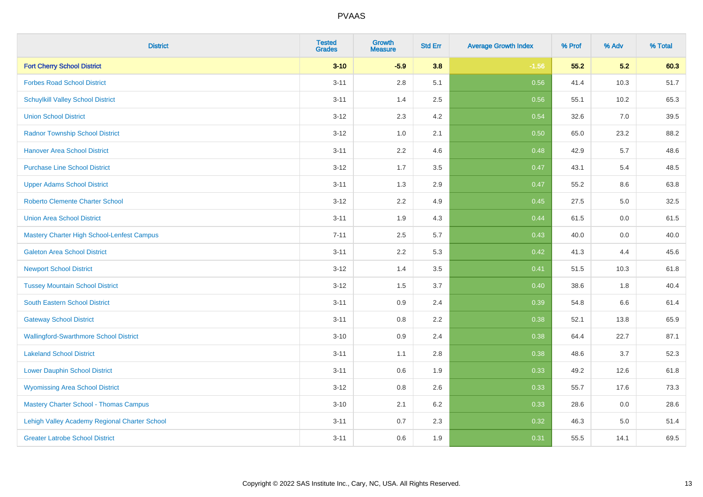| <b>District</b>                               | <b>Tested</b><br><b>Grades</b> | <b>Growth</b><br><b>Measure</b> | <b>Std Err</b> | <b>Average Growth Index</b> | % Prof | % Adv | % Total |
|-----------------------------------------------|--------------------------------|---------------------------------|----------------|-----------------------------|--------|-------|---------|
| <b>Fort Cherry School District</b>            | $3 - 10$                       | $-5.9$                          | 3.8            | $-1.56$                     | 55.2   | 5.2   | 60.3    |
| <b>Forbes Road School District</b>            | $3 - 11$                       | 2.8                             | 5.1            | 0.56                        | 41.4   | 10.3  | 51.7    |
| <b>Schuylkill Valley School District</b>      | $3 - 11$                       | 1.4                             | 2.5            | 0.56                        | 55.1   | 10.2  | 65.3    |
| <b>Union School District</b>                  | $3 - 12$                       | 2.3                             | 4.2            | 0.54                        | 32.6   | 7.0   | 39.5    |
| <b>Radnor Township School District</b>        | $3 - 12$                       | 1.0                             | 2.1            | 0.50                        | 65.0   | 23.2  | 88.2    |
| <b>Hanover Area School District</b>           | $3 - 11$                       | 2.2                             | 4.6            | 0.48                        | 42.9   | 5.7   | 48.6    |
| <b>Purchase Line School District</b>          | $3 - 12$                       | 1.7                             | 3.5            | 0.47                        | 43.1   | 5.4   | 48.5    |
| <b>Upper Adams School District</b>            | $3 - 11$                       | 1.3                             | 2.9            | 0.47                        | 55.2   | 8.6   | 63.8    |
| <b>Roberto Clemente Charter School</b>        | $3 - 12$                       | 2.2                             | 4.9            | 0.45                        | 27.5   | 5.0   | 32.5    |
| <b>Union Area School District</b>             | $3 - 11$                       | 1.9                             | 4.3            | 0.44                        | 61.5   | 0.0   | 61.5    |
| Mastery Charter High School-Lenfest Campus    | $7 - 11$                       | 2.5                             | 5.7            | $\boxed{0.43}$              | 40.0   | 0.0   | 40.0    |
| <b>Galeton Area School District</b>           | $3 - 11$                       | 2.2                             | 5.3            | 0.42                        | 41.3   | 4.4   | 45.6    |
| <b>Newport School District</b>                | $3 - 12$                       | 1.4                             | 3.5            | 0.41                        | 51.5   | 10.3  | 61.8    |
| <b>Tussey Mountain School District</b>        | $3 - 12$                       | 1.5                             | 3.7            | 0.40                        | 38.6   | 1.8   | 40.4    |
| <b>South Eastern School District</b>          | $3 - 11$                       | 0.9                             | 2.4            | 0.39                        | 54.8   | 6.6   | 61.4    |
| <b>Gateway School District</b>                | $3 - 11$                       | 0.8                             | 2.2            | 0.38                        | 52.1   | 13.8  | 65.9    |
| <b>Wallingford-Swarthmore School District</b> | $3 - 10$                       | 0.9                             | 2.4            | 0.38                        | 64.4   | 22.7  | 87.1    |
| <b>Lakeland School District</b>               | $3 - 11$                       | 1.1                             | 2.8            | 0.38                        | 48.6   | 3.7   | 52.3    |
| <b>Lower Dauphin School District</b>          | $3 - 11$                       | 0.6                             | 1.9            | 0.33                        | 49.2   | 12.6  | 61.8    |
| <b>Wyomissing Area School District</b>        | $3 - 12$                       | $0.8\,$                         | 2.6            | 0.33                        | 55.7   | 17.6  | 73.3    |
| <b>Mastery Charter School - Thomas Campus</b> | $3 - 10$                       | 2.1                             | 6.2            | 0.33                        | 28.6   | 0.0   | 28.6    |
| Lehigh Valley Academy Regional Charter School | $3 - 11$                       | 0.7                             | 2.3            | 0.32                        | 46.3   | 5.0   | 51.4    |
| <b>Greater Latrobe School District</b>        | $3 - 11$                       | 0.6                             | 1.9            | 0.31                        | 55.5   | 14.1  | 69.5    |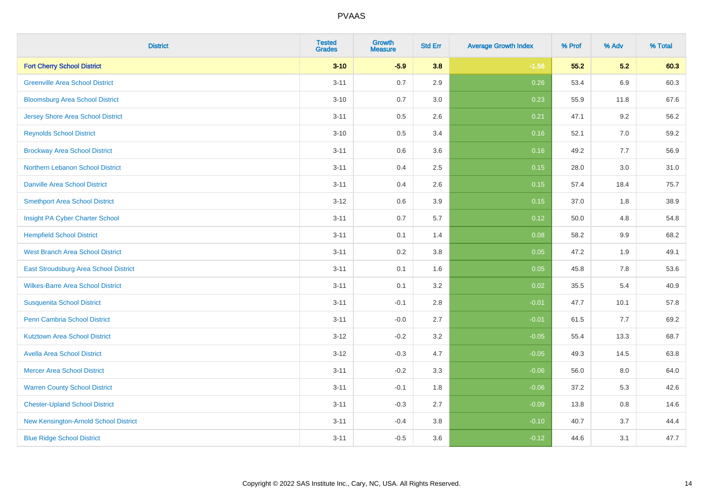| <b>District</b>                          | <b>Tested</b><br><b>Grades</b> | <b>Growth</b><br><b>Measure</b> | <b>Std Err</b> | <b>Average Growth Index</b> | % Prof | % Adv   | % Total |
|------------------------------------------|--------------------------------|---------------------------------|----------------|-----------------------------|--------|---------|---------|
| <b>Fort Cherry School District</b>       | $3 - 10$                       | $-5.9$                          | 3.8            | $-1.56$                     | 55.2   | 5.2     | 60.3    |
| <b>Greenville Area School District</b>   | $3 - 11$                       | 0.7                             | 2.9            | 0.26                        | 53.4   | 6.9     | 60.3    |
| <b>Bloomsburg Area School District</b>   | $3 - 10$                       | 0.7                             | 3.0            | 0.23                        | 55.9   | 11.8    | 67.6    |
| <b>Jersey Shore Area School District</b> | $3 - 11$                       | 0.5                             | 2.6            | 0.21                        | 47.1   | 9.2     | 56.2    |
| <b>Reynolds School District</b>          | $3 - 10$                       | 0.5                             | 3.4            | 0.16                        | 52.1   | 7.0     | 59.2    |
| <b>Brockway Area School District</b>     | $3 - 11$                       | 0.6                             | 3.6            | 0.16                        | 49.2   | 7.7     | 56.9    |
| Northern Lebanon School District         | $3 - 11$                       | 0.4                             | 2.5            | 0.15                        | 28.0   | 3.0     | 31.0    |
| <b>Danville Area School District</b>     | $3 - 11$                       | 0.4                             | 2.6            | 0.15                        | 57.4   | 18.4    | 75.7    |
| <b>Smethport Area School District</b>    | $3 - 12$                       | 0.6                             | 3.9            | 0.15                        | 37.0   | 1.8     | 38.9    |
| Insight PA Cyber Charter School          | $3 - 11$                       | 0.7                             | 5.7            | 0.12                        | 50.0   | 4.8     | 54.8    |
| <b>Hempfield School District</b>         | $3 - 11$                       | 0.1                             | 1.4            | 0.08                        | 58.2   | 9.9     | 68.2    |
| <b>West Branch Area School District</b>  | $3 - 11$                       | 0.2                             | 3.8            | 0.05                        | 47.2   | 1.9     | 49.1    |
| East Stroudsburg Area School District    | $3 - 11$                       | 0.1                             | 1.6            | 0.05                        | 45.8   | $7.8\,$ | 53.6    |
| <b>Wilkes-Barre Area School District</b> | $3 - 11$                       | 0.1                             | 3.2            | 0.02                        | 35.5   | 5.4     | 40.9    |
| <b>Susquenita School District</b>        | $3 - 11$                       | $-0.1$                          | 2.8            | $-0.01$                     | 47.7   | 10.1    | 57.8    |
| <b>Penn Cambria School District</b>      | $3 - 11$                       | $-0.0$                          | 2.7            | $-0.01$                     | 61.5   | 7.7     | 69.2    |
| <b>Kutztown Area School District</b>     | $3-12$                         | $-0.2$                          | 3.2            | $-0.05$                     | 55.4   | 13.3    | 68.7    |
| <b>Avella Area School District</b>       | $3-12$                         | $-0.3$                          | 4.7            | $-0.05$                     | 49.3   | 14.5    | 63.8    |
| <b>Mercer Area School District</b>       | $3 - 11$                       | $-0.2$                          | 3.3            | $-0.06$                     | 56.0   | 8.0     | 64.0    |
| <b>Warren County School District</b>     | $3 - 11$                       | $-0.1$                          | 1.8            | $-0.06$                     | 37.2   | 5.3     | 42.6    |
| <b>Chester-Upland School District</b>    | $3 - 11$                       | $-0.3$                          | 2.7            | $-0.09$                     | 13.8   | 0.8     | 14.6    |
| New Kensington-Arnold School District    | $3 - 11$                       | $-0.4$                          | 3.8            | $-0.10$                     | 40.7   | 3.7     | 44.4    |
| <b>Blue Ridge School District</b>        | $3 - 11$                       | $-0.5$                          | 3.6            | $-0.12$                     | 44.6   | 3.1     | 47.7    |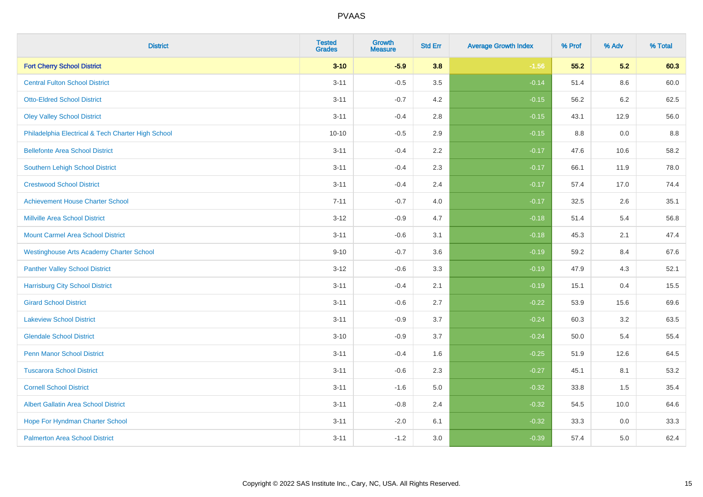| <b>District</b>                                    | <b>Tested</b><br><b>Grades</b> | <b>Growth</b><br><b>Measure</b> | <b>Std Err</b> | <b>Average Growth Index</b> | % Prof | % Adv | % Total |
|----------------------------------------------------|--------------------------------|---------------------------------|----------------|-----------------------------|--------|-------|---------|
| <b>Fort Cherry School District</b>                 | $3 - 10$                       | $-5.9$                          | 3.8            | $-1.56$                     | 55.2   | 5.2   | 60.3    |
| <b>Central Fulton School District</b>              | $3 - 11$                       | $-0.5$                          | 3.5            | $-0.14$                     | 51.4   | 8.6   | 60.0    |
| <b>Otto-Eldred School District</b>                 | $3 - 11$                       | $-0.7$                          | 4.2            | $-0.15$                     | 56.2   | 6.2   | 62.5    |
| <b>Oley Valley School District</b>                 | $3 - 11$                       | $-0.4$                          | 2.8            | $-0.15$                     | 43.1   | 12.9  | 56.0    |
| Philadelphia Electrical & Tech Charter High School | $10 - 10$                      | $-0.5$                          | 2.9            | $-0.15$                     | 8.8    | 0.0   | 8.8     |
| <b>Bellefonte Area School District</b>             | $3 - 11$                       | $-0.4$                          | 2.2            | $-0.17$                     | 47.6   | 10.6  | 58.2    |
| Southern Lehigh School District                    | $3 - 11$                       | $-0.4$                          | 2.3            | $-0.17$                     | 66.1   | 11.9  | 78.0    |
| <b>Crestwood School District</b>                   | $3 - 11$                       | $-0.4$                          | 2.4            | $-0.17$                     | 57.4   | 17.0  | 74.4    |
| <b>Achievement House Charter School</b>            | $7 - 11$                       | $-0.7$                          | 4.0            | $-0.17$                     | 32.5   | 2.6   | 35.1    |
| <b>Millville Area School District</b>              | $3 - 12$                       | $-0.9$                          | 4.7            | $-0.18$                     | 51.4   | 5.4   | 56.8    |
| <b>Mount Carmel Area School District</b>           | $3 - 11$                       | $-0.6$                          | 3.1            | $-0.18$                     | 45.3   | 2.1   | 47.4    |
| <b>Westinghouse Arts Academy Charter School</b>    | $9 - 10$                       | $-0.7$                          | 3.6            | $-0.19$                     | 59.2   | 8.4   | 67.6    |
| <b>Panther Valley School District</b>              | $3-12$                         | $-0.6$                          | 3.3            | $-0.19$                     | 47.9   | 4.3   | 52.1    |
| <b>Harrisburg City School District</b>             | $3 - 11$                       | $-0.4$                          | 2.1            | $-0.19$                     | 15.1   | 0.4   | 15.5    |
| <b>Girard School District</b>                      | $3 - 11$                       | $-0.6$                          | 2.7            | $-0.22$                     | 53.9   | 15.6  | 69.6    |
| <b>Lakeview School District</b>                    | $3 - 11$                       | $-0.9$                          | 3.7            | $-0.24$                     | 60.3   | 3.2   | 63.5    |
| <b>Glendale School District</b>                    | $3 - 10$                       | $-0.9$                          | 3.7            | $-0.24$                     | 50.0   | 5.4   | 55.4    |
| <b>Penn Manor School District</b>                  | $3 - 11$                       | $-0.4$                          | 1.6            | $-0.25$                     | 51.9   | 12.6  | 64.5    |
| <b>Tuscarora School District</b>                   | $3 - 11$                       | $-0.6$                          | 2.3            | $-0.27$                     | 45.1   | 8.1   | 53.2    |
| <b>Cornell School District</b>                     | $3 - 11$                       | $-1.6$                          | 5.0            | $-0.32$                     | 33.8   | 1.5   | 35.4    |
| <b>Albert Gallatin Area School District</b>        | $3 - 11$                       | $-0.8$                          | 2.4            | $-0.32$                     | 54.5   | 10.0  | 64.6    |
| Hope For Hyndman Charter School                    | $3 - 11$                       | $-2.0$                          | 6.1            | $-0.32$                     | 33.3   | 0.0   | 33.3    |
| <b>Palmerton Area School District</b>              | $3 - 11$                       | $-1.2$                          | 3.0            | $-0.39$                     | 57.4   | 5.0   | 62.4    |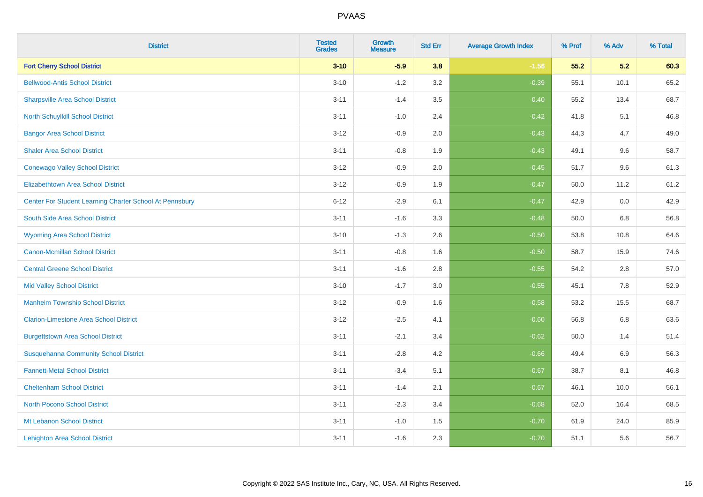| <b>District</b>                                         | <b>Tested</b><br><b>Grades</b> | <b>Growth</b><br><b>Measure</b> | <b>Std Err</b> | <b>Average Growth Index</b> | % Prof | % Adv   | % Total |
|---------------------------------------------------------|--------------------------------|---------------------------------|----------------|-----------------------------|--------|---------|---------|
| <b>Fort Cherry School District</b>                      | $3 - 10$                       | $-5.9$                          | 3.8            | $-1.56$                     | 55.2   | 5.2     | 60.3    |
| <b>Bellwood-Antis School District</b>                   | $3 - 10$                       | $-1.2$                          | 3.2            | $-0.39$                     | 55.1   | 10.1    | 65.2    |
| <b>Sharpsville Area School District</b>                 | $3 - 11$                       | $-1.4$                          | 3.5            | $-0.40$                     | 55.2   | 13.4    | 68.7    |
| North Schuylkill School District                        | $3 - 11$                       | $-1.0$                          | 2.4            | $-0.42$                     | 41.8   | 5.1     | 46.8    |
| <b>Bangor Area School District</b>                      | $3 - 12$                       | $-0.9$                          | 2.0            | $-0.43$                     | 44.3   | 4.7     | 49.0    |
| <b>Shaler Area School District</b>                      | $3 - 11$                       | $-0.8$                          | 1.9            | $-0.43$                     | 49.1   | 9.6     | 58.7    |
| <b>Conewago Valley School District</b>                  | $3 - 12$                       | $-0.9$                          | 2.0            | $-0.45$                     | 51.7   | 9.6     | 61.3    |
| <b>Elizabethtown Area School District</b>               | $3 - 12$                       | $-0.9$                          | 1.9            | $-0.47$                     | 50.0   | 11.2    | 61.2    |
| Center For Student Learning Charter School At Pennsbury | $6 - 12$                       | $-2.9$                          | 6.1            | $-0.47$                     | 42.9   | 0.0     | 42.9    |
| South Side Area School District                         | $3 - 11$                       | $-1.6$                          | 3.3            | $-0.48$                     | 50.0   | 6.8     | 56.8    |
| <b>Wyoming Area School District</b>                     | $3 - 10$                       | $-1.3$                          | 2.6            | $-0.50$                     | 53.8   | 10.8    | 64.6    |
| <b>Canon-Mcmillan School District</b>                   | $3 - 11$                       | $-0.8$                          | 1.6            | $-0.50$                     | 58.7   | 15.9    | 74.6    |
| <b>Central Greene School District</b>                   | $3 - 11$                       | $-1.6$                          | 2.8            | $-0.55$                     | 54.2   | $2.8\,$ | 57.0    |
| <b>Mid Valley School District</b>                       | $3 - 10$                       | $-1.7$                          | 3.0            | $-0.55$                     | 45.1   | 7.8     | 52.9    |
| <b>Manheim Township School District</b>                 | $3 - 12$                       | $-0.9$                          | 1.6            | $-0.58$                     | 53.2   | 15.5    | 68.7    |
| <b>Clarion-Limestone Area School District</b>           | $3 - 12$                       | $-2.5$                          | 4.1            | $-0.60$                     | 56.8   | $6.8\,$ | 63.6    |
| <b>Burgettstown Area School District</b>                | $3 - 11$                       | $-2.1$                          | 3.4            | $-0.62$                     | 50.0   | 1.4     | 51.4    |
| <b>Susquehanna Community School District</b>            | $3 - 11$                       | $-2.8$                          | 4.2            | $-0.66$                     | 49.4   | 6.9     | 56.3    |
| <b>Fannett-Metal School District</b>                    | $3 - 11$                       | $-3.4$                          | 5.1            | $-0.67$                     | 38.7   | 8.1     | 46.8    |
| <b>Cheltenham School District</b>                       | $3 - 11$                       | $-1.4$                          | 2.1            | $-0.67$                     | 46.1   | 10.0    | 56.1    |
| <b>North Pocono School District</b>                     | $3 - 11$                       | $-2.3$                          | 3.4            | $-0.68$                     | 52.0   | 16.4    | 68.5    |
| Mt Lebanon School District                              | $3 - 11$                       | $-1.0$                          | 1.5            | $-0.70$                     | 61.9   | 24.0    | 85.9    |
| <b>Lehighton Area School District</b>                   | $3 - 11$                       | $-1.6$                          | 2.3            | $-0.70$                     | 51.1   | 5.6     | 56.7    |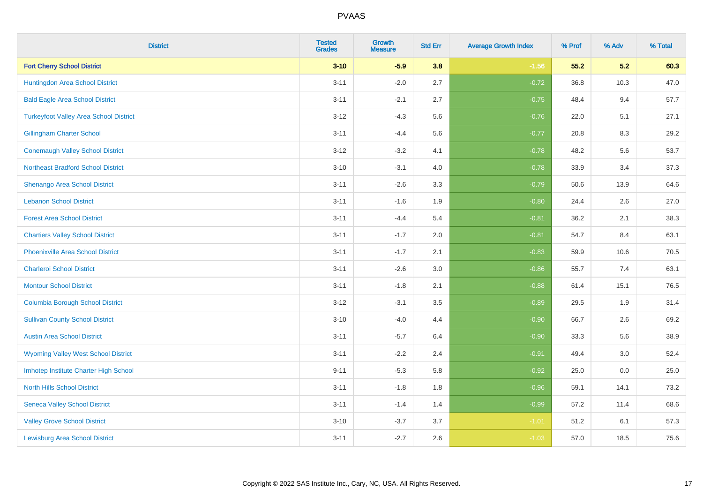| <b>District</b>                               | <b>Tested</b><br><b>Grades</b> | <b>Growth</b><br><b>Measure</b> | <b>Std Err</b> | <b>Average Growth Index</b> | % Prof | % Adv | % Total |
|-----------------------------------------------|--------------------------------|---------------------------------|----------------|-----------------------------|--------|-------|---------|
| <b>Fort Cherry School District</b>            | $3 - 10$                       | $-5.9$                          | 3.8            | $-1.56$                     | 55.2   | 5.2   | 60.3    |
| Huntingdon Area School District               | $3 - 11$                       | $-2.0$                          | 2.7            | $-0.72$                     | 36.8   | 10.3  | 47.0    |
| <b>Bald Eagle Area School District</b>        | $3 - 11$                       | $-2.1$                          | 2.7            | $-0.75$                     | 48.4   | 9.4   | 57.7    |
| <b>Turkeyfoot Valley Area School District</b> | $3 - 12$                       | $-4.3$                          | 5.6            | $-0.76$                     | 22.0   | 5.1   | 27.1    |
| <b>Gillingham Charter School</b>              | $3 - 11$                       | $-4.4$                          | 5.6            | $-0.77$                     | 20.8   | 8.3   | 29.2    |
| <b>Conemaugh Valley School District</b>       | $3 - 12$                       | $-3.2$                          | 4.1            | $-0.78$                     | 48.2   | 5.6   | 53.7    |
| <b>Northeast Bradford School District</b>     | $3 - 10$                       | $-3.1$                          | 4.0            | $-0.78$                     | 33.9   | 3.4   | 37.3    |
| <b>Shenango Area School District</b>          | $3 - 11$                       | $-2.6$                          | 3.3            | $-0.79$                     | 50.6   | 13.9  | 64.6    |
| <b>Lebanon School District</b>                | $3 - 11$                       | $-1.6$                          | 1.9            | $-0.80$                     | 24.4   | 2.6   | 27.0    |
| <b>Forest Area School District</b>            | $3 - 11$                       | $-4.4$                          | 5.4            | $-0.81$                     | 36.2   | 2.1   | 38.3    |
| <b>Chartiers Valley School District</b>       | $3 - 11$                       | $-1.7$                          | 2.0            | $-0.81$                     | 54.7   | 8.4   | 63.1    |
| <b>Phoenixville Area School District</b>      | $3 - 11$                       | $-1.7$                          | 2.1            | $-0.83$                     | 59.9   | 10.6  | 70.5    |
| <b>Charleroi School District</b>              | $3 - 11$                       | $-2.6$                          | 3.0            | $-0.86$                     | 55.7   | 7.4   | 63.1    |
| <b>Montour School District</b>                | $3 - 11$                       | $-1.8$                          | 2.1            | $-0.88$                     | 61.4   | 15.1  | 76.5    |
| <b>Columbia Borough School District</b>       | $3 - 12$                       | $-3.1$                          | 3.5            | $-0.89$                     | 29.5   | 1.9   | 31.4    |
| <b>Sullivan County School District</b>        | $3 - 10$                       | $-4.0$                          | 4.4            | $-0.90$                     | 66.7   | 2.6   | 69.2    |
| <b>Austin Area School District</b>            | $3 - 11$                       | $-5.7$                          | 6.4            | $-0.90$                     | 33.3   | 5.6   | 38.9    |
| <b>Wyoming Valley West School District</b>    | $3 - 11$                       | $-2.2$                          | 2.4            | $-0.91$                     | 49.4   | 3.0   | 52.4    |
| Imhotep Institute Charter High School         | $9 - 11$                       | $-5.3$                          | 5.8            | $-0.92$                     | 25.0   | 0.0   | 25.0    |
| <b>North Hills School District</b>            | $3 - 11$                       | $-1.8$                          | 1.8            | $-0.96$                     | 59.1   | 14.1  | 73.2    |
| <b>Seneca Valley School District</b>          | $3 - 11$                       | $-1.4$                          | 1.4            | $-0.99$                     | 57.2   | 11.4  | 68.6    |
| <b>Valley Grove School District</b>           | $3 - 10$                       | $-3.7$                          | 3.7            | $-1.01$                     | 51.2   | 6.1   | 57.3    |
| <b>Lewisburg Area School District</b>         | $3 - 11$                       | $-2.7$                          | 2.6            | $-1.03$                     | 57.0   | 18.5  | 75.6    |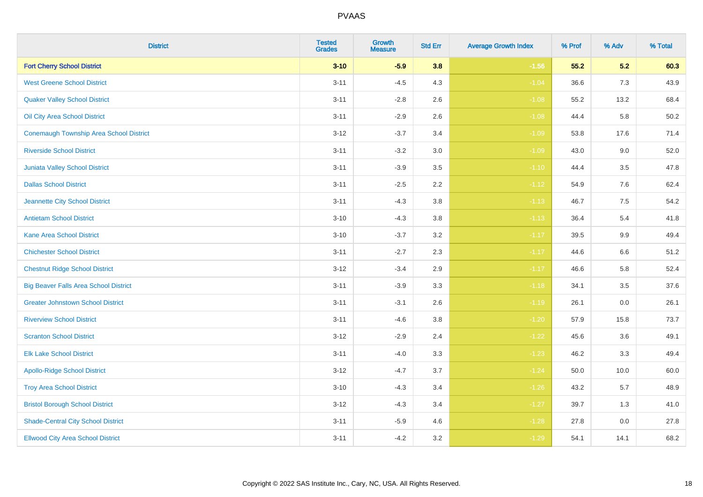| <b>District</b>                              | <b>Tested</b><br><b>Grades</b> | <b>Growth</b><br><b>Measure</b> | <b>Std Err</b> | <b>Average Growth Index</b> | % Prof | % Adv | % Total |
|----------------------------------------------|--------------------------------|---------------------------------|----------------|-----------------------------|--------|-------|---------|
| <b>Fort Cherry School District</b>           | $3 - 10$                       | $-5.9$                          | 3.8            | $-1.56$                     | 55.2   | 5.2   | 60.3    |
| <b>West Greene School District</b>           | $3 - 11$                       | $-4.5$                          | 4.3            | $-1.04$                     | 36.6   | 7.3   | 43.9    |
| <b>Quaker Valley School District</b>         | $3 - 11$                       | $-2.8$                          | 2.6            | $-1.08$                     | 55.2   | 13.2  | 68.4    |
| Oil City Area School District                | $3 - 11$                       | $-2.9$                          | 2.6            | $-1.08$                     | 44.4   | 5.8   | 50.2    |
| Conemaugh Township Area School District      | $3 - 12$                       | $-3.7$                          | 3.4            | $-1.09$                     | 53.8   | 17.6  | 71.4    |
| <b>Riverside School District</b>             | $3 - 11$                       | $-3.2$                          | 3.0            | $-1.09$                     | 43.0   | 9.0   | 52.0    |
| Juniata Valley School District               | $3 - 11$                       | $-3.9$                          | 3.5            | $-1.10$                     | 44.4   | 3.5   | 47.8    |
| <b>Dallas School District</b>                | $3 - 11$                       | $-2.5$                          | 2.2            | $-1.12$                     | 54.9   | 7.6   | 62.4    |
| Jeannette City School District               | $3 - 11$                       | $-4.3$                          | 3.8            | $-1.13$                     | 46.7   | 7.5   | 54.2    |
| <b>Antietam School District</b>              | $3 - 10$                       | $-4.3$                          | 3.8            | $-1.13$                     | 36.4   | 5.4   | 41.8    |
| <b>Kane Area School District</b>             | $3 - 10$                       | $-3.7$                          | 3.2            | $-1.17$                     | 39.5   | 9.9   | 49.4    |
| <b>Chichester School District</b>            | $3 - 11$                       | $-2.7$                          | 2.3            | $-1.17$                     | 44.6   | 6.6   | 51.2    |
| <b>Chestnut Ridge School District</b>        | $3 - 12$                       | $-3.4$                          | 2.9            | $-1.17$                     | 46.6   | 5.8   | 52.4    |
| <b>Big Beaver Falls Area School District</b> | $3 - 11$                       | $-3.9$                          | 3.3            | $-1.18$                     | 34.1   | 3.5   | 37.6    |
| <b>Greater Johnstown School District</b>     | $3 - 11$                       | $-3.1$                          | 2.6            | $-1.19$                     | 26.1   | 0.0   | 26.1    |
| <b>Riverview School District</b>             | $3 - 11$                       | $-4.6$                          | 3.8            | $-1.20$                     | 57.9   | 15.8  | 73.7    |
| <b>Scranton School District</b>              | $3 - 12$                       | $-2.9$                          | 2.4            | $-1.22$                     | 45.6   | 3.6   | 49.1    |
| <b>Elk Lake School District</b>              | $3 - 11$                       | $-4.0$                          | 3.3            | $-1.23$                     | 46.2   | 3.3   | 49.4    |
| <b>Apollo-Ridge School District</b>          | $3 - 12$                       | $-4.7$                          | 3.7            | $-1.24$                     | 50.0   | 10.0  | 60.0    |
| <b>Troy Area School District</b>             | $3 - 10$                       | $-4.3$                          | 3.4            | $-1.26$                     | 43.2   | 5.7   | 48.9    |
| <b>Bristol Borough School District</b>       | $3 - 12$                       | $-4.3$                          | 3.4            | $-1.27$                     | 39.7   | 1.3   | 41.0    |
| <b>Shade-Central City School District</b>    | $3 - 11$                       | $-5.9$                          | 4.6            | $-1.28$                     | 27.8   | 0.0   | 27.8    |
| <b>Ellwood City Area School District</b>     | $3 - 11$                       | $-4.2$                          | 3.2            | $-1.29$                     | 54.1   | 14.1  | 68.2    |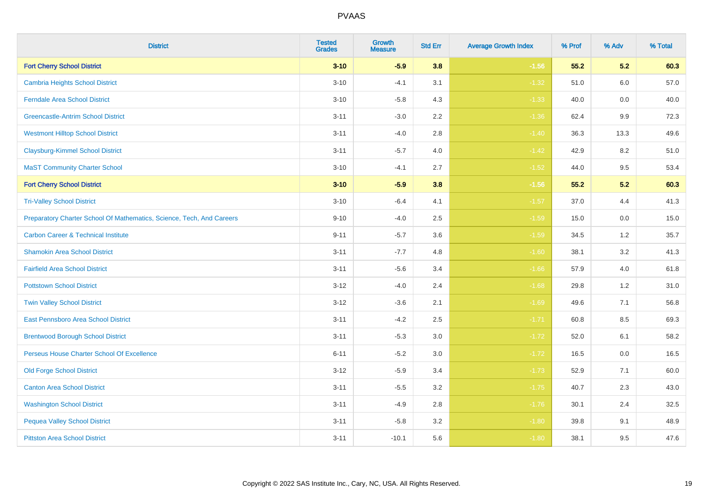| <b>District</b>                                                       | <b>Tested</b><br><b>Grades</b> | <b>Growth</b><br><b>Measure</b> | <b>Std Err</b> | <b>Average Growth Index</b> | % Prof | % Adv | % Total |
|-----------------------------------------------------------------------|--------------------------------|---------------------------------|----------------|-----------------------------|--------|-------|---------|
| <b>Fort Cherry School District</b>                                    | $3 - 10$                       | $-5.9$                          | 3.8            | $-1.56$                     | 55.2   | 5.2   | 60.3    |
| <b>Cambria Heights School District</b>                                | $3 - 10$                       | $-4.1$                          | 3.1            | $-1.32$                     | 51.0   | 6.0   | 57.0    |
| <b>Ferndale Area School District</b>                                  | $3 - 10$                       | $-5.8$                          | 4.3            | $-1.33$                     | 40.0   | 0.0   | 40.0    |
| <b>Greencastle-Antrim School District</b>                             | $3 - 11$                       | $-3.0$                          | $2.2\,$        | $-1.36$                     | 62.4   | 9.9   | 72.3    |
| <b>Westmont Hilltop School District</b>                               | $3 - 11$                       | $-4.0$                          | 2.8            | $-1.40$                     | 36.3   | 13.3  | 49.6    |
| <b>Claysburg-Kimmel School District</b>                               | $3 - 11$                       | $-5.7$                          | 4.0            | $-1.42$                     | 42.9   | 8.2   | 51.0    |
| <b>MaST Community Charter School</b>                                  | $3 - 10$                       | $-4.1$                          | 2.7            | $-1.52$                     | 44.0   | 9.5   | 53.4    |
| <b>Fort Cherry School District</b>                                    | $3 - 10$                       | $-5.9$                          | 3.8            | $-1.56$                     | 55.2   | 5.2   | 60.3    |
| <b>Tri-Valley School District</b>                                     | $3 - 10$                       | $-6.4$                          | 4.1            | $-1.57$                     | 37.0   | 4.4   | 41.3    |
| Preparatory Charter School Of Mathematics, Science, Tech, And Careers | $9 - 10$                       | $-4.0$                          | $2.5\,$        | $-1.59$                     | 15.0   | 0.0   | 15.0    |
| <b>Carbon Career &amp; Technical Institute</b>                        | $9 - 11$                       | $-5.7$                          | 3.6            | $-1.59$                     | 34.5   | 1.2   | 35.7    |
| <b>Shamokin Area School District</b>                                  | $3 - 11$                       | $-7.7$                          | 4.8            | $-1.60$                     | 38.1   | 3.2   | 41.3    |
| <b>Fairfield Area School District</b>                                 | $3 - 11$                       | $-5.6$                          | 3.4            | $-1.66$                     | 57.9   | 4.0   | 61.8    |
| <b>Pottstown School District</b>                                      | $3 - 12$                       | $-4.0$                          | 2.4            | $-1.68$                     | 29.8   | 1.2   | 31.0    |
| <b>Twin Valley School District</b>                                    | $3 - 12$                       | $-3.6$                          | 2.1            | $-1.69$                     | 49.6   | 7.1   | 56.8    |
| <b>East Pennsboro Area School District</b>                            | $3 - 11$                       | $-4.2$                          | 2.5            | $-1.71$                     | 60.8   | 8.5   | 69.3    |
| <b>Brentwood Borough School District</b>                              | $3 - 11$                       | $-5.3$                          | 3.0            | $-1.72$                     | 52.0   | 6.1   | 58.2    |
| Perseus House Charter School Of Excellence                            | $6 - 11$                       | $-5.2$                          | 3.0            | $-1.72$                     | 16.5   | 0.0   | 16.5    |
| <b>Old Forge School District</b>                                      | $3 - 12$                       | $-5.9$                          | 3.4            | $-1.73$                     | 52.9   | 7.1   | 60.0    |
| <b>Canton Area School District</b>                                    | $3 - 11$                       | $-5.5$                          | 3.2            | $-1.75$                     | 40.7   | 2.3   | 43.0    |
| <b>Washington School District</b>                                     | $3 - 11$                       | $-4.9$                          | 2.8            | $-1.76$                     | 30.1   | 2.4   | 32.5    |
| <b>Pequea Valley School District</b>                                  | $3 - 11$                       | $-5.8$                          | 3.2            | $-1.80$                     | 39.8   | 9.1   | 48.9    |
| <b>Pittston Area School District</b>                                  | $3 - 11$                       | $-10.1$                         | 5.6            | $-1.80$                     | 38.1   | 9.5   | 47.6    |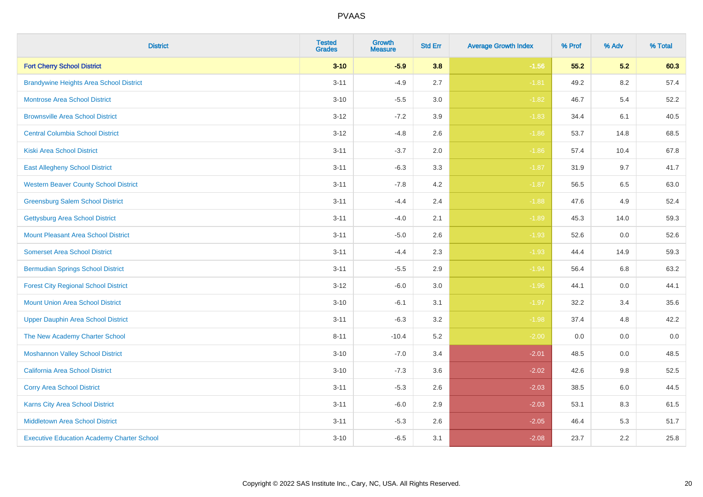| <b>District</b>                                   | <b>Tested</b><br><b>Grades</b> | <b>Growth</b><br><b>Measure</b> | <b>Std Err</b> | <b>Average Growth Index</b> | % Prof | % Adv | % Total |
|---------------------------------------------------|--------------------------------|---------------------------------|----------------|-----------------------------|--------|-------|---------|
| <b>Fort Cherry School District</b>                | $3 - 10$                       | $-5.9$                          | 3.8            | $-1.56$                     | 55.2   | 5.2   | 60.3    |
| <b>Brandywine Heights Area School District</b>    | $3 - 11$                       | $-4.9$                          | 2.7            | $-1.81$                     | 49.2   | 8.2   | 57.4    |
| <b>Montrose Area School District</b>              | $3 - 10$                       | $-5.5$                          | 3.0            | $-1.82$                     | 46.7   | 5.4   | 52.2    |
| <b>Brownsville Area School District</b>           | $3 - 12$                       | $-7.2$                          | 3.9            | $-1.83$                     | 34.4   | 6.1   | 40.5    |
| <b>Central Columbia School District</b>           | $3 - 12$                       | $-4.8$                          | 2.6            | $-1.86$                     | 53.7   | 14.8  | 68.5    |
| <b>Kiski Area School District</b>                 | $3 - 11$                       | $-3.7$                          | 2.0            | $-1.86$                     | 57.4   | 10.4  | 67.8    |
| <b>East Allegheny School District</b>             | $3 - 11$                       | $-6.3$                          | 3.3            | $-1.87$                     | 31.9   | 9.7   | 41.7    |
| <b>Western Beaver County School District</b>      | $3 - 11$                       | $-7.8$                          | 4.2            | $-1.87$                     | 56.5   | 6.5   | 63.0    |
| <b>Greensburg Salem School District</b>           | $3 - 11$                       | $-4.4$                          | 2.4            | $-1.88$                     | 47.6   | 4.9   | 52.4    |
| <b>Gettysburg Area School District</b>            | $3 - 11$                       | $-4.0$                          | 2.1            | $-1.89$                     | 45.3   | 14.0  | 59.3    |
| <b>Mount Pleasant Area School District</b>        | $3 - 11$                       | $-5.0$                          | 2.6            | $-1.93$                     | 52.6   | 0.0   | 52.6    |
| <b>Somerset Area School District</b>              | $3 - 11$                       | $-4.4$                          | 2.3            | $-1.93$                     | 44.4   | 14.9  | 59.3    |
| <b>Bermudian Springs School District</b>          | $3 - 11$                       | $-5.5$                          | 2.9            | $-1.94$                     | 56.4   | 6.8   | 63.2    |
| <b>Forest City Regional School District</b>       | $3-12$                         | $-6.0$                          | 3.0            | $-1.96$                     | 44.1   | 0.0   | 44.1    |
| <b>Mount Union Area School District</b>           | $3 - 10$                       | $-6.1$                          | 3.1            | $-1.97$                     | 32.2   | 3.4   | 35.6    |
| <b>Upper Dauphin Area School District</b>         | $3 - 11$                       | $-6.3$                          | 3.2            | $-1.98$                     | 37.4   | 4.8   | 42.2    |
| The New Academy Charter School                    | $8 - 11$                       | $-10.4$                         | 5.2            | $-2.00$                     | 0.0    | 0.0   | $0.0\,$ |
| <b>Moshannon Valley School District</b>           | $3 - 10$                       | $-7.0$                          | 3.4            | $-2.01$                     | 48.5   | 0.0   | 48.5    |
| <b>California Area School District</b>            | $3 - 10$                       | $-7.3$                          | 3.6            | $-2.02$                     | 42.6   | 9.8   | 52.5    |
| <b>Corry Area School District</b>                 | $3 - 11$                       | $-5.3$                          | 2.6            | $-2.03$                     | 38.5   | 6.0   | 44.5    |
| <b>Karns City Area School District</b>            | $3 - 11$                       | $-6.0$                          | 2.9            | $-2.03$                     | 53.1   | 8.3   | 61.5    |
| <b>Middletown Area School District</b>            | $3 - 11$                       | $-5.3$                          | 2.6            | $-2.05$                     | 46.4   | 5.3   | 51.7    |
| <b>Executive Education Academy Charter School</b> | $3 - 10$                       | $-6.5$                          | 3.1            | $-2.08$                     | 23.7   | 2.2   | 25.8    |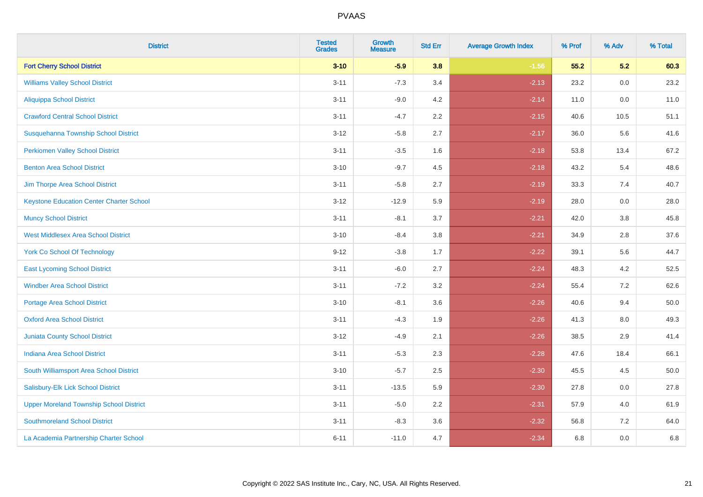| <b>District</b>                                 | <b>Tested</b><br><b>Grades</b> | <b>Growth</b><br><b>Measure</b> | <b>Std Err</b> | <b>Average Growth Index</b> | % Prof | % Adv   | % Total |
|-------------------------------------------------|--------------------------------|---------------------------------|----------------|-----------------------------|--------|---------|---------|
| <b>Fort Cherry School District</b>              | $3 - 10$                       | $-5.9$                          | 3.8            | $-1.56$                     | 55.2   | 5.2     | 60.3    |
| <b>Williams Valley School District</b>          | $3 - 11$                       | $-7.3$                          | 3.4            | $-2.13$                     | 23.2   | 0.0     | 23.2    |
| <b>Aliquippa School District</b>                | $3 - 11$                       | $-9.0$                          | 4.2            | $-2.14$                     | 11.0   | 0.0     | 11.0    |
| <b>Crawford Central School District</b>         | $3 - 11$                       | $-4.7$                          | 2.2            | $-2.15$                     | 40.6   | 10.5    | 51.1    |
| Susquehanna Township School District            | $3 - 12$                       | $-5.8$                          | 2.7            | $-2.17$                     | 36.0   | 5.6     | 41.6    |
| <b>Perkiomen Valley School District</b>         | $3 - 11$                       | $-3.5$                          | 1.6            | $-2.18$                     | 53.8   | 13.4    | 67.2    |
| <b>Benton Area School District</b>              | $3 - 10$                       | $-9.7$                          | 4.5            | $-2.18$                     | 43.2   | 5.4     | 48.6    |
| Jim Thorpe Area School District                 | $3 - 11$                       | $-5.8$                          | 2.7            | $-2.19$                     | 33.3   | 7.4     | 40.7    |
| <b>Keystone Education Center Charter School</b> | $3 - 12$                       | $-12.9$                         | 5.9            | $-2.19$                     | 28.0   | 0.0     | 28.0    |
| <b>Muncy School District</b>                    | $3 - 11$                       | $-8.1$                          | 3.7            | $-2.21$                     | 42.0   | 3.8     | 45.8    |
| <b>West Middlesex Area School District</b>      | $3 - 10$                       | $-8.4$                          | 3.8            | $-2.21$                     | 34.9   | 2.8     | 37.6    |
| <b>York Co School Of Technology</b>             | $9 - 12$                       | $-3.8$                          | 1.7            | $-2.22$                     | 39.1   | 5.6     | 44.7    |
| <b>East Lycoming School District</b>            | $3 - 11$                       | $-6.0$                          | 2.7            | $-2.24$                     | 48.3   | 4.2     | 52.5    |
| <b>Windber Area School District</b>             | $3 - 11$                       | $-7.2$                          | 3.2            | $-2.24$                     | 55.4   | 7.2     | 62.6    |
| <b>Portage Area School District</b>             | $3 - 10$                       | $-8.1$                          | 3.6            | $-2.26$                     | 40.6   | 9.4     | 50.0    |
| <b>Oxford Area School District</b>              | $3 - 11$                       | $-4.3$                          | 1.9            | $-2.26$                     | 41.3   | $8.0\,$ | 49.3    |
| <b>Juniata County School District</b>           | $3 - 12$                       | $-4.9$                          | 2.1            | $-2.26$                     | 38.5   | 2.9     | 41.4    |
| <b>Indiana Area School District</b>             | $3 - 11$                       | $-5.3$                          | 2.3            | $-2.28$                     | 47.6   | 18.4    | 66.1    |
| South Williamsport Area School District         | $3 - 10$                       | $-5.7$                          | 2.5            | $-2.30$                     | 45.5   | 4.5     | 50.0    |
| Salisbury-Elk Lick School District              | $3 - 11$                       | $-13.5$                         | 5.9            | $-2.30$                     | 27.8   | 0.0     | 27.8    |
| <b>Upper Moreland Township School District</b>  | $3 - 11$                       | $-5.0$                          | 2.2            | $-2.31$                     | 57.9   | 4.0     | 61.9    |
| <b>Southmoreland School District</b>            | $3 - 11$                       | $-8.3$                          | 3.6            | $-2.32$                     | 56.8   | 7.2     | 64.0    |
| La Academia Partnership Charter School          | $6 - 11$                       | $-11.0$                         | 4.7            | $-2.34$                     | 6.8    | 0.0     | 6.8     |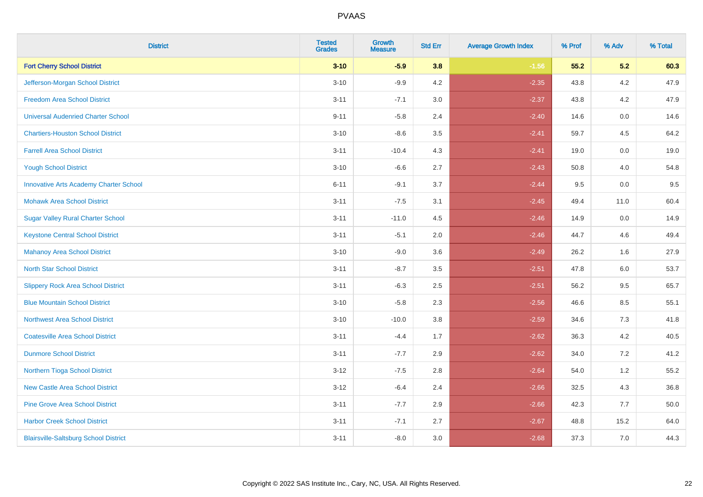| <b>District</b>                               | <b>Tested</b><br><b>Grades</b> | <b>Growth</b><br><b>Measure</b> | <b>Std Err</b> | <b>Average Growth Index</b> | % Prof | % Adv   | % Total |
|-----------------------------------------------|--------------------------------|---------------------------------|----------------|-----------------------------|--------|---------|---------|
| <b>Fort Cherry School District</b>            | $3 - 10$                       | $-5.9$                          | 3.8            | $-1.56$                     | 55.2   | 5.2     | 60.3    |
| Jefferson-Morgan School District              | $3 - 10$                       | $-9.9$                          | 4.2            | $-2.35$                     | 43.8   | $4.2\,$ | 47.9    |
| <b>Freedom Area School District</b>           | $3 - 11$                       | $-7.1$                          | 3.0            | $-2.37$                     | 43.8   | 4.2     | 47.9    |
| <b>Universal Audenried Charter School</b>     | $9 - 11$                       | $-5.8$                          | 2.4            | $-2.40$                     | 14.6   | 0.0     | 14.6    |
| <b>Chartiers-Houston School District</b>      | $3 - 10$                       | $-8.6$                          | 3.5            | $-2.41$                     | 59.7   | 4.5     | 64.2    |
| <b>Farrell Area School District</b>           | $3 - 11$                       | $-10.4$                         | 4.3            | $-2.41$                     | 19.0   | 0.0     | 19.0    |
| <b>Yough School District</b>                  | $3 - 10$                       | $-6.6$                          | 2.7            | $-2.43$                     | 50.8   | 4.0     | 54.8    |
| <b>Innovative Arts Academy Charter School</b> | $6 - 11$                       | $-9.1$                          | 3.7            | $-2.44$                     | 9.5    | 0.0     | 9.5     |
| <b>Mohawk Area School District</b>            | $3 - 11$                       | $-7.5$                          | 3.1            | $-2.45$                     | 49.4   | 11.0    | 60.4    |
| <b>Sugar Valley Rural Charter School</b>      | $3 - 11$                       | $-11.0$                         | 4.5            | $-2.46$                     | 14.9   | 0.0     | 14.9    |
| <b>Keystone Central School District</b>       | $3 - 11$                       | $-5.1$                          | 2.0            | $-2.46$                     | 44.7   | 4.6     | 49.4    |
| <b>Mahanoy Area School District</b>           | $3 - 10$                       | $-9.0$                          | 3.6            | $-2.49$                     | 26.2   | 1.6     | 27.9    |
| <b>North Star School District</b>             | $3 - 11$                       | $-8.7$                          | 3.5            | $-2.51$                     | 47.8   | 6.0     | 53.7    |
| <b>Slippery Rock Area School District</b>     | $3 - 11$                       | $-6.3$                          | 2.5            | $-2.51$                     | 56.2   | 9.5     | 65.7    |
| <b>Blue Mountain School District</b>          | $3 - 10$                       | $-5.8$                          | 2.3            | $-2.56$                     | 46.6   | 8.5     | 55.1    |
| <b>Northwest Area School District</b>         | $3 - 10$                       | $-10.0$                         | 3.8            | $-2.59$                     | 34.6   | 7.3     | 41.8    |
| <b>Coatesville Area School District</b>       | $3 - 11$                       | $-4.4$                          | 1.7            | $-2.62$                     | 36.3   | 4.2     | 40.5    |
| <b>Dunmore School District</b>                | $3 - 11$                       | $-7.7$                          | 2.9            | $-2.62$                     | 34.0   | 7.2     | 41.2    |
| Northern Tioga School District                | $3-12$                         | $-7.5$                          | 2.8            | $-2.64$                     | 54.0   | 1.2     | 55.2    |
| <b>New Castle Area School District</b>        | $3 - 12$                       | $-6.4$                          | 2.4            | $-2.66$                     | 32.5   | 4.3     | 36.8    |
| <b>Pine Grove Area School District</b>        | $3 - 11$                       | $-7.7$                          | 2.9            | $-2.66$                     | 42.3   | 7.7     | 50.0    |
| <b>Harbor Creek School District</b>           | $3 - 11$                       | $-7.1$                          | 2.7            | $-2.67$                     | 48.8   | 15.2    | 64.0    |
| <b>Blairsville-Saltsburg School District</b>  | $3 - 11$                       | $-8.0$                          | 3.0            | $-2.68$                     | 37.3   | 7.0     | 44.3    |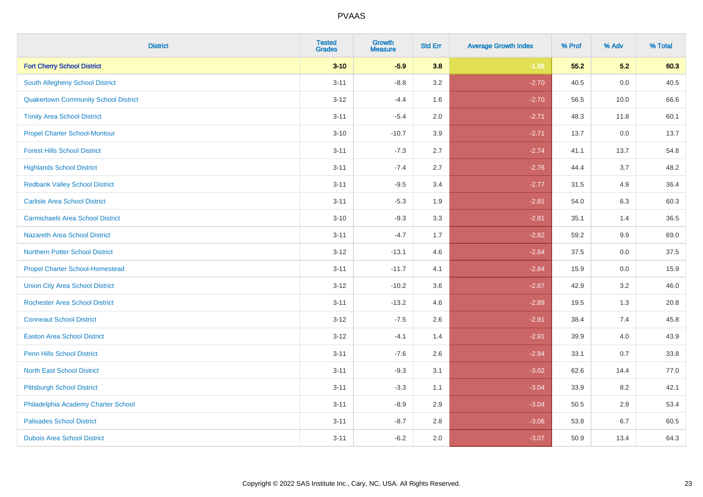| <b>District</b>                             | <b>Tested</b><br><b>Grades</b> | <b>Growth</b><br><b>Measure</b> | <b>Std Err</b> | <b>Average Growth Index</b> | % Prof | % Adv | % Total |
|---------------------------------------------|--------------------------------|---------------------------------|----------------|-----------------------------|--------|-------|---------|
| <b>Fort Cherry School District</b>          | $3 - 10$                       | $-5.9$                          | 3.8            | $-1.56$                     | 55.2   | 5.2   | 60.3    |
| <b>South Allegheny School District</b>      | $3 - 11$                       | $-8.8$                          | 3.2            | $-2.70$                     | 40.5   | 0.0   | 40.5    |
| <b>Quakertown Community School District</b> | $3 - 12$                       | $-4.4$                          | 1.6            | $-2.70$                     | 56.5   | 10.0  | 66.6    |
| <b>Trinity Area School District</b>         | $3 - 11$                       | $-5.4$                          | 2.0            | $-2.71$                     | 48.3   | 11.8  | 60.1    |
| <b>Propel Charter School-Montour</b>        | $3 - 10$                       | $-10.7$                         | 3.9            | $-2.71$                     | 13.7   | 0.0   | 13.7    |
| <b>Forest Hills School District</b>         | $3 - 11$                       | $-7.3$                          | 2.7            | $-2.74$                     | 41.1   | 13.7  | 54.8    |
| <b>Highlands School District</b>            | $3 - 11$                       | $-7.4$                          | 2.7            | $-2.76$                     | 44.4   | 3.7   | 48.2    |
| <b>Redbank Valley School District</b>       | $3 - 11$                       | $-9.5$                          | 3.4            | $-2.77$                     | 31.5   | 4.9   | 36.4    |
| <b>Carlisle Area School District</b>        | $3 - 11$                       | $-5.3$                          | 1.9            | $-2.81$                     | 54.0   | 6.3   | 60.3    |
| <b>Carmichaels Area School District</b>     | $3 - 10$                       | $-9.3$                          | 3.3            | $-2.81$                     | 35.1   | 1.4   | 36.5    |
| Nazareth Area School District               | $3 - 11$                       | $-4.7$                          | 1.7            | $-2.82$                     | 59.2   | 9.9   | 69.0    |
| <b>Northern Potter School District</b>      | $3 - 12$                       | $-13.1$                         | 4.6            | $-2.84$                     | 37.5   | 0.0   | 37.5    |
| <b>Propel Charter School-Homestead</b>      | $3 - 11$                       | $-11.7$                         | 4.1            | $-2.84$                     | 15.9   | 0.0   | 15.9    |
| <b>Union City Area School District</b>      | $3-12$                         | $-10.2$                         | 3.6            | $-2.87$                     | 42.9   | 3.2   | 46.0    |
| <b>Rochester Area School District</b>       | $3 - 11$                       | $-13.2$                         | 4.6            | $-2.89$                     | 19.5   | 1.3   | 20.8    |
| <b>Conneaut School District</b>             | $3 - 12$                       | $-7.5$                          | 2.6            | $-2.91$                     | 38.4   | 7.4   | 45.8    |
| <b>Easton Area School District</b>          | $3 - 12$                       | $-4.1$                          | 1.4            | $-2.91$                     | 39.9   | 4.0   | 43.9    |
| <b>Penn Hills School District</b>           | $3 - 11$                       | $-7.6$                          | 2.6            | $-2.94$                     | 33.1   | 0.7   | 33.8    |
| <b>North East School District</b>           | $3 - 11$                       | $-9.3$                          | 3.1            | $-3.02$                     | 62.6   | 14.4  | 77.0    |
| <b>Pittsburgh School District</b>           | $3 - 11$                       | $-3.3$                          | 1.1            | $-3.04$                     | 33.9   | 8.2   | 42.1    |
| Philadelphia Academy Charter School         | $3 - 11$                       | $-8.9$                          | 2.9            | $-3.04$                     | 50.5   | 2.9   | 53.4    |
| <b>Palisades School District</b>            | $3 - 11$                       | $-8.7$                          | 2.8            | $-3.06$                     | 53.8   | 6.7   | 60.5    |
| <b>Dubois Area School District</b>          | $3 - 11$                       | $-6.2$                          | 2.0            | $-3.07$                     | 50.9   | 13.4  | 64.3    |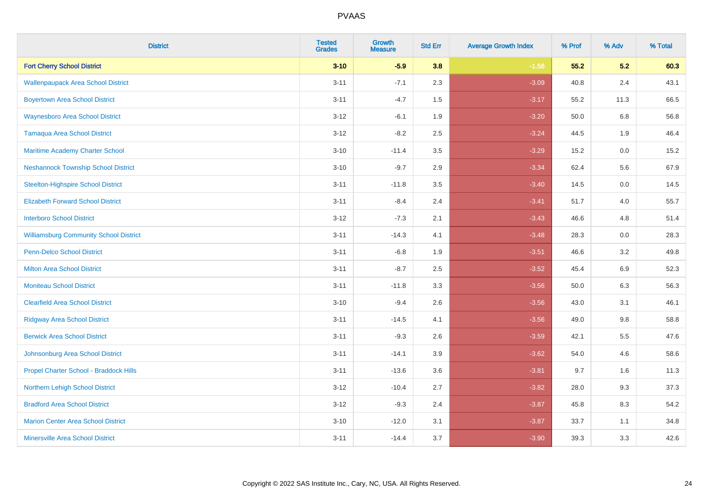| <b>District</b>                               | <b>Tested</b><br><b>Grades</b> | <b>Growth</b><br><b>Measure</b> | <b>Std Err</b> | <b>Average Growth Index</b> | % Prof | % Adv   | % Total |
|-----------------------------------------------|--------------------------------|---------------------------------|----------------|-----------------------------|--------|---------|---------|
| <b>Fort Cherry School District</b>            | $3 - 10$                       | $-5.9$                          | 3.8            | $-1.56$                     | 55.2   | 5.2     | 60.3    |
| <b>Wallenpaupack Area School District</b>     | $3 - 11$                       | $-7.1$                          | 2.3            | $-3.09$                     | 40.8   | 2.4     | 43.1    |
| <b>Boyertown Area School District</b>         | $3 - 11$                       | $-4.7$                          | 1.5            | $-3.17$                     | 55.2   | 11.3    | 66.5    |
| <b>Waynesboro Area School District</b>        | $3 - 12$                       | $-6.1$                          | 1.9            | $-3.20$                     | 50.0   | 6.8     | 56.8    |
| <b>Tamaqua Area School District</b>           | $3 - 12$                       | $-8.2$                          | 2.5            | $-3.24$                     | 44.5   | 1.9     | 46.4    |
| Maritime Academy Charter School               | $3 - 10$                       | $-11.4$                         | 3.5            | $-3.29$                     | 15.2   | 0.0     | 15.2    |
| <b>Neshannock Township School District</b>    | $3 - 10$                       | $-9.7$                          | 2.9            | $-3.34$                     | 62.4   | 5.6     | 67.9    |
| <b>Steelton-Highspire School District</b>     | $3 - 11$                       | $-11.8$                         | 3.5            | $-3.40$                     | 14.5   | 0.0     | 14.5    |
| <b>Elizabeth Forward School District</b>      | $3 - 11$                       | $-8.4$                          | 2.4            | $-3.41$                     | 51.7   | 4.0     | 55.7    |
| <b>Interboro School District</b>              | $3 - 12$                       | $-7.3$                          | 2.1            | $-3.43$                     | 46.6   | 4.8     | 51.4    |
| <b>Williamsburg Community School District</b> | $3 - 11$                       | $-14.3$                         | 4.1            | $-3.48$                     | 28.3   | 0.0     | 28.3    |
| <b>Penn-Delco School District</b>             | $3 - 11$                       | $-6.8$                          | 1.9            | $-3.51$                     | 46.6   | 3.2     | 49.8    |
| <b>Milton Area School District</b>            | $3 - 11$                       | $-8.7$                          | 2.5            | $-3.52$                     | 45.4   | 6.9     | 52.3    |
| <b>Moniteau School District</b>               | $3 - 11$                       | $-11.8$                         | 3.3            | $-3.56$                     | 50.0   | 6.3     | 56.3    |
| <b>Clearfield Area School District</b>        | $3 - 10$                       | $-9.4$                          | 2.6            | $-3.56$                     | 43.0   | 3.1     | 46.1    |
| <b>Ridgway Area School District</b>           | $3 - 11$                       | $-14.5$                         | 4.1            | $-3.56$                     | 49.0   | $9.8\,$ | 58.8    |
| <b>Berwick Area School District</b>           | $3 - 11$                       | $-9.3$                          | 2.6            | $-3.59$                     | 42.1   | 5.5     | 47.6    |
| Johnsonburg Area School District              | $3 - 11$                       | $-14.1$                         | 3.9            | $-3.62$                     | 54.0   | 4.6     | 58.6    |
| Propel Charter School - Braddock Hills        | $3 - 11$                       | $-13.6$                         | 3.6            | $-3.81$                     | 9.7    | 1.6     | 11.3    |
| Northern Lehigh School District               | $3 - 12$                       | $-10.4$                         | 2.7            | $-3.82$                     | 28.0   | 9.3     | 37.3    |
| <b>Bradford Area School District</b>          | $3 - 12$                       | $-9.3$                          | 2.4            | $-3.87$                     | 45.8   | 8.3     | 54.2    |
| <b>Marion Center Area School District</b>     | $3 - 10$                       | $-12.0$                         | 3.1            | $-3.87$                     | 33.7   | 1.1     | 34.8    |
| <b>Minersville Area School District</b>       | $3 - 11$                       | $-14.4$                         | 3.7            | $-3.90$                     | 39.3   | 3.3     | 42.6    |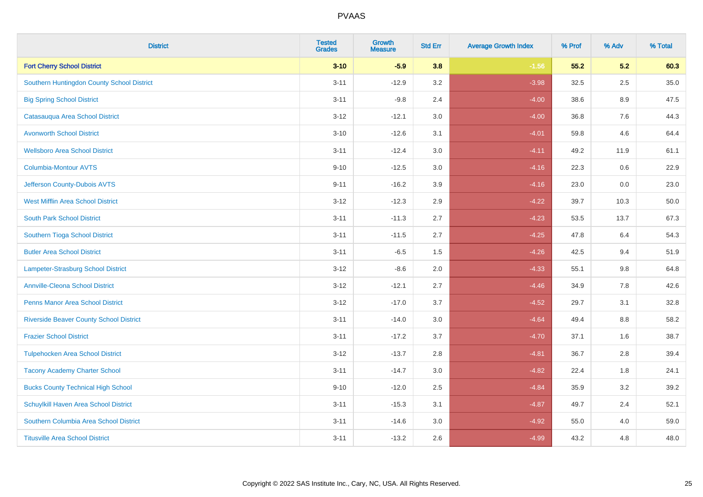| <b>District</b>                                | <b>Tested</b><br><b>Grades</b> | Growth<br><b>Measure</b> | <b>Std Err</b> | <b>Average Growth Index</b> | % Prof | % Adv   | % Total |
|------------------------------------------------|--------------------------------|--------------------------|----------------|-----------------------------|--------|---------|---------|
| <b>Fort Cherry School District</b>             | $3 - 10$                       | $-5.9$                   | 3.8            | $-1.56$                     | 55.2   | 5.2     | 60.3    |
| Southern Huntingdon County School District     | $3 - 11$                       | $-12.9$                  | 3.2            | $-3.98$                     | 32.5   | 2.5     | 35.0    |
| <b>Big Spring School District</b>              | $3 - 11$                       | $-9.8$                   | 2.4            | $-4.00$                     | 38.6   | 8.9     | 47.5    |
| Catasauqua Area School District                | $3 - 12$                       | $-12.1$                  | 3.0            | $-4.00$                     | 36.8   | $7.6\,$ | 44.3    |
| <b>Avonworth School District</b>               | $3 - 10$                       | $-12.6$                  | 3.1            | $-4.01$                     | 59.8   | 4.6     | 64.4    |
| <b>Wellsboro Area School District</b>          | $3 - 11$                       | $-12.4$                  | 3.0            | $-4.11$                     | 49.2   | 11.9    | 61.1    |
| Columbia-Montour AVTS                          | $9 - 10$                       | $-12.5$                  | 3.0            | $-4.16$                     | 22.3   | 0.6     | 22.9    |
| Jefferson County-Dubois AVTS                   | $9 - 11$                       | $-16.2$                  | 3.9            | $-4.16$                     | 23.0   | 0.0     | 23.0    |
| <b>West Mifflin Area School District</b>       | $3 - 12$                       | $-12.3$                  | 2.9            | $-4.22$                     | 39.7   | 10.3    | 50.0    |
| <b>South Park School District</b>              | $3 - 11$                       | $-11.3$                  | 2.7            | $-4.23$                     | 53.5   | 13.7    | 67.3    |
| Southern Tioga School District                 | $3 - 11$                       | $-11.5$                  | 2.7            | $-4.25$                     | 47.8   | 6.4     | 54.3    |
| <b>Butler Area School District</b>             | $3 - 11$                       | $-6.5$                   | 1.5            | $-4.26$                     | 42.5   | 9.4     | 51.9    |
| Lampeter-Strasburg School District             | $3 - 12$                       | $-8.6$                   | 2.0            | $-4.33$                     | 55.1   | 9.8     | 64.8    |
| <b>Annville-Cleona School District</b>         | $3 - 12$                       | $-12.1$                  | 2.7            | $-4.46$                     | 34.9   | $7.8\,$ | 42.6    |
| <b>Penns Manor Area School District</b>        | $3 - 12$                       | $-17.0$                  | 3.7            | $-4.52$                     | 29.7   | 3.1     | 32.8    |
| <b>Riverside Beaver County School District</b> | $3 - 11$                       | $-14.0$                  | 3.0            | $-4.64$                     | 49.4   | 8.8     | 58.2    |
| <b>Frazier School District</b>                 | $3 - 11$                       | $-17.2$                  | 3.7            | $-4.70$                     | 37.1   | 1.6     | 38.7    |
| <b>Tulpehocken Area School District</b>        | $3 - 12$                       | $-13.7$                  | 2.8            | $-4.81$                     | 36.7   | 2.8     | 39.4    |
| <b>Tacony Academy Charter School</b>           | $3 - 11$                       | $-14.7$                  | 3.0            | $-4.82$                     | 22.4   | 1.8     | 24.1    |
| <b>Bucks County Technical High School</b>      | $9 - 10$                       | $-12.0$                  | 2.5            | $-4.84$                     | 35.9   | 3.2     | 39.2    |
| Schuylkill Haven Area School District          | $3 - 11$                       | $-15.3$                  | 3.1            | $-4.87$                     | 49.7   | 2.4     | 52.1    |
| Southern Columbia Area School District         | $3 - 11$                       | $-14.6$                  | 3.0            | $-4.92$                     | 55.0   | 4.0     | 59.0    |
| <b>Titusville Area School District</b>         | $3 - 11$                       | $-13.2$                  | 2.6            | $-4.99$                     | 43.2   | 4.8     | 48.0    |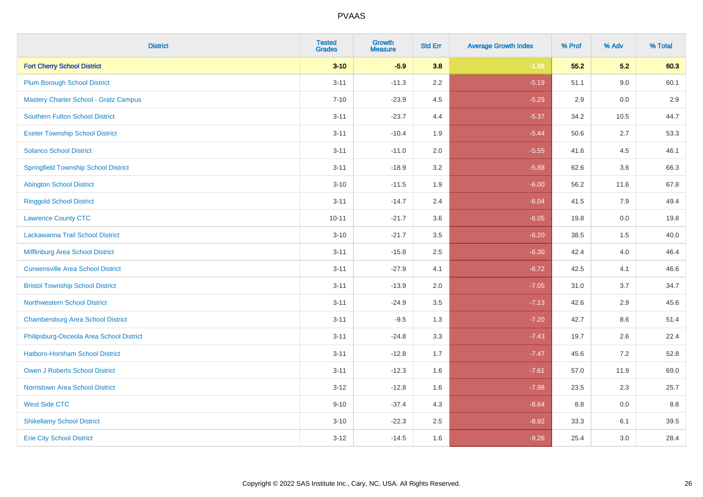| <b>District</b>                              | <b>Tested</b><br><b>Grades</b> | <b>Growth</b><br><b>Measure</b> | <b>Std Err</b> | <b>Average Growth Index</b> | % Prof | % Adv | % Total |
|----------------------------------------------|--------------------------------|---------------------------------|----------------|-----------------------------|--------|-------|---------|
| <b>Fort Cherry School District</b>           | $3 - 10$                       | $-5.9$                          | 3.8            | $-1.56$                     | 55.2   | 5.2   | 60.3    |
| <b>Plum Borough School District</b>          | $3 - 11$                       | $-11.3$                         | 2.2            | $-5.19$                     | 51.1   | 9.0   | 60.1    |
| <b>Mastery Charter School - Gratz Campus</b> | $7 - 10$                       | $-23.9$                         | 4.5            | $-5.29$                     | 2.9    | 0.0   | 2.9     |
| <b>Southern Fulton School District</b>       | $3 - 11$                       | $-23.7$                         | 4.4            | $-5.37$                     | 34.2   | 10.5  | 44.7    |
| <b>Exeter Township School District</b>       | $3 - 11$                       | $-10.4$                         | 1.9            | $-5.44$                     | 50.6   | 2.7   | 53.3    |
| <b>Solanco School District</b>               | $3 - 11$                       | $-11.0$                         | 2.0            | $-5.55$                     | 41.6   | 4.5   | 46.1    |
| <b>Springfield Township School District</b>  | $3 - 11$                       | $-18.9$                         | 3.2            | $-5.88$                     | 62.6   | 3.6   | 66.3    |
| <b>Abington School District</b>              | $3 - 10$                       | $-11.5$                         | 1.9            | $-6.00$                     | 56.2   | 11.6  | 67.8    |
| <b>Ringgold School District</b>              | $3 - 11$                       | $-14.7$                         | 2.4            | $-6.04$                     | 41.5   | 7.9   | 49.4    |
| <b>Lawrence County CTC</b>                   | $10 - 11$                      | $-21.7$                         | 3.6            | $-6.05$                     | 19.8   | 0.0   | 19.8    |
| Lackawanna Trail School District             | $3 - 10$                       | $-21.7$                         | 3.5            | $-6.20$                     | 38.5   | 1.5   | 40.0    |
| Mifflinburg Area School District             | $3 - 11$                       | $-15.8$                         | 2.5            | $-6.30$                     | 42.4   | 4.0   | 46.4    |
| <b>Curwensville Area School District</b>     | $3 - 11$                       | $-27.9$                         | 4.1            | $-6.72$                     | 42.5   | 4.1   | 46.6    |
| <b>Bristol Township School District</b>      | $3 - 11$                       | $-13.9$                         | 2.0            | $-7.05$                     | 31.0   | 3.7   | 34.7    |
| <b>Northwestern School District</b>          | $3 - 11$                       | $-24.9$                         | 3.5            | $-7.13$                     | 42.6   | 2.9   | 45.6    |
| <b>Chambersburg Area School District</b>     | $3 - 11$                       | $-9.5$                          | 1.3            | $-7.20$                     | 42.7   | 8.6   | 51.4    |
| Philipsburg-Osceola Area School District     | $3 - 11$                       | $-24.8$                         | 3.3            | $-7.43$                     | 19.7   | 2.6   | 22.4    |
| <b>Hatboro-Horsham School District</b>       | $3 - 11$                       | $-12.8$                         | 1.7            | $-7.47$                     | 45.6   | 7.2   | 52.8    |
| <b>Owen J Roberts School District</b>        | $3 - 11$                       | $-12.3$                         | 1.6            | $-7.61$                     | 57.0   | 11.9  | 69.0    |
| <b>Norristown Area School District</b>       | $3 - 12$                       | $-12.8$                         | 1.6            | $-7.98$                     | 23.5   | 2.3   | 25.7    |
| <b>West Side CTC</b>                         | $9 - 10$                       | $-37.4$                         | 4.3            | $-8.64$                     | 8.8    | 0.0   | 8.8     |
| <b>Shikellamy School District</b>            | $3 - 10$                       | $-22.3$                         | 2.5            | $-8.92$                     | 33.3   | 6.1   | 39.5    |
| <b>Erie City School District</b>             | $3 - 12$                       | $-14.5$                         | 1.6            | $-9.26$                     | 25.4   | 3.0   | 28.4    |